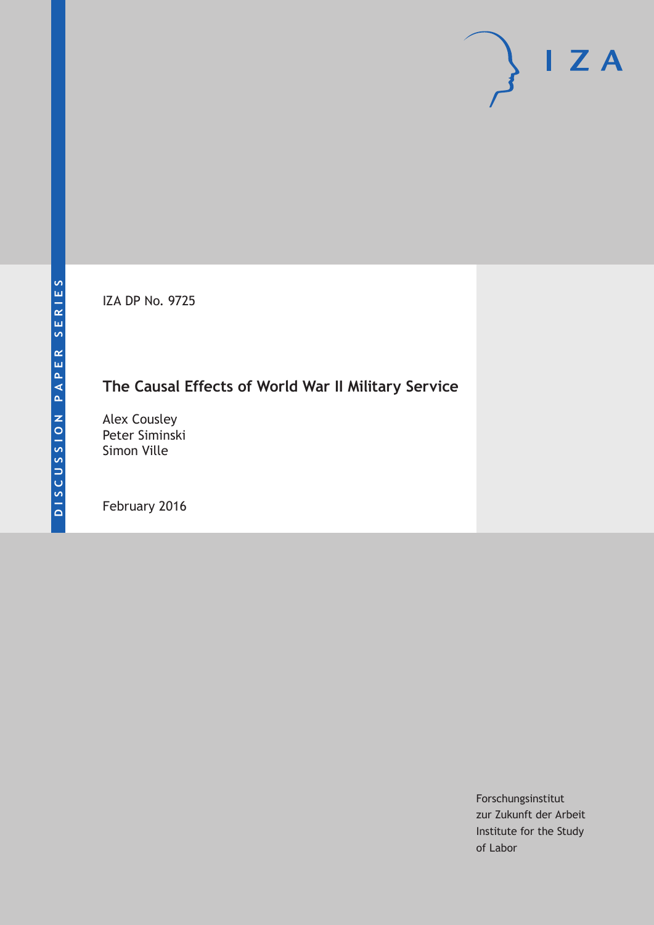IZA DP No. 9725

# **The Causal Effects of World War II Military Service**

Alex Cousley Peter Siminski Simon Ville

February 2016

Forschungsinstitut zur Zukunft der Arbeit Institute for the Study of Labor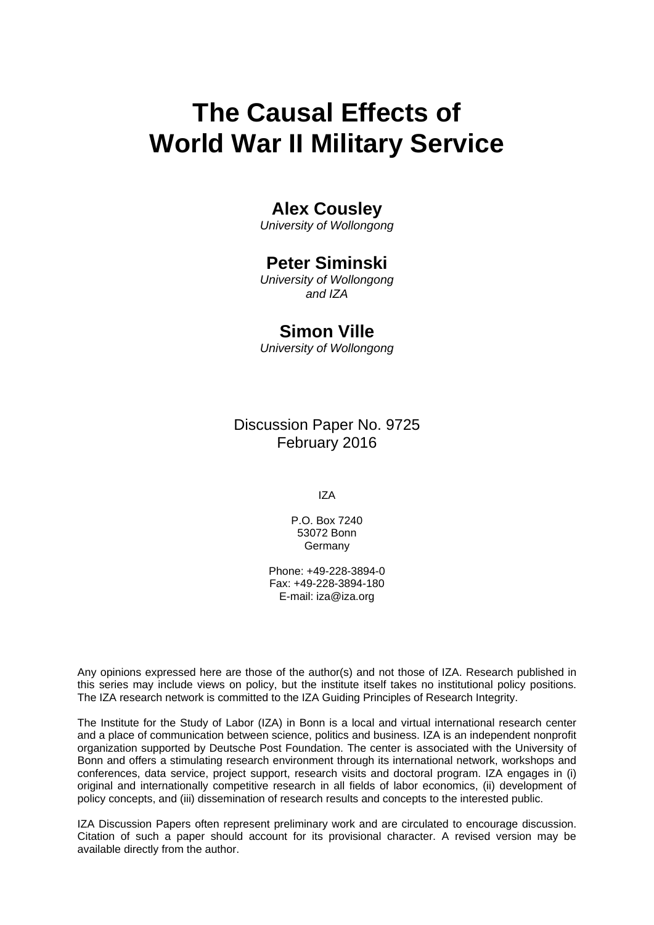# **The Causal Effects of World War II Military Service**

# **Alex Cousley**

*University of Wollongong* 

# **Peter Siminski**

*University of Wollongong and IZA* 

# **Simon Ville**

*University of Wollongong*

Discussion Paper No. 9725 February 2016

IZA

P.O. Box 7240 53072 Bonn **Germany** 

Phone: +49-228-3894-0 Fax: +49-228-3894-180 E-mail: iza@iza.org

Any opinions expressed here are those of the author(s) and not those of IZA. Research published in this series may include views on policy, but the institute itself takes no institutional policy positions. The IZA research network is committed to the IZA Guiding Principles of Research Integrity.

The Institute for the Study of Labor (IZA) in Bonn is a local and virtual international research center and a place of communication between science, politics and business. IZA is an independent nonprofit organization supported by Deutsche Post Foundation. The center is associated with the University of Bonn and offers a stimulating research environment through its international network, workshops and conferences, data service, project support, research visits and doctoral program. IZA engages in (i) original and internationally competitive research in all fields of labor economics, (ii) development of policy concepts, and (iii) dissemination of research results and concepts to the interested public.

IZA Discussion Papers often represent preliminary work and are circulated to encourage discussion. Citation of such a paper should account for its provisional character. A revised version may be available directly from the author.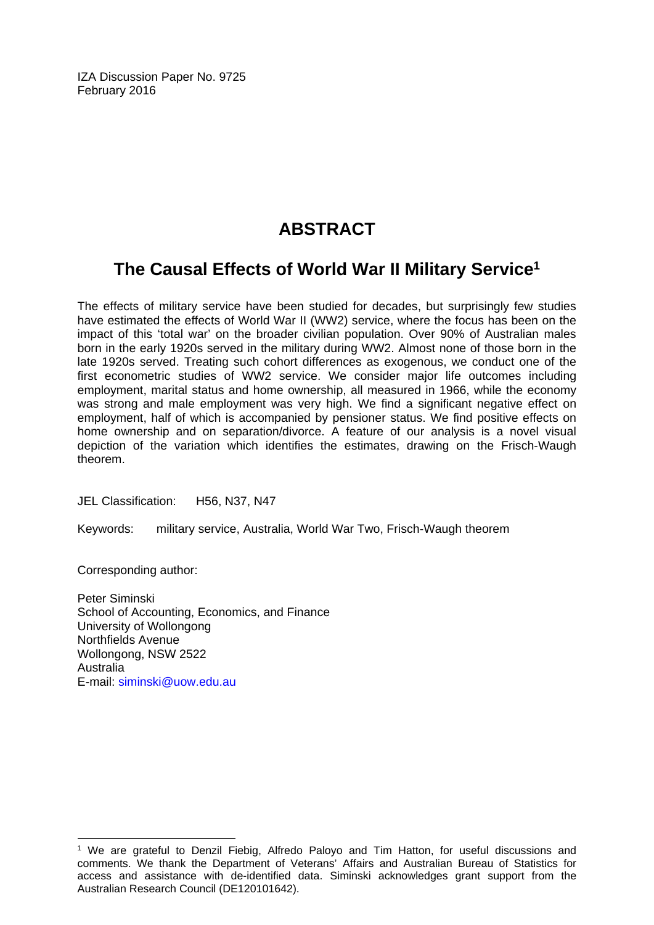IZA Discussion Paper No. 9725 February 2016

# **ABSTRACT**

# **The Causal Effects of World War II Military Service1**

The effects of military service have been studied for decades, but surprisingly few studies have estimated the effects of World War II (WW2) service, where the focus has been on the impact of this 'total war' on the broader civilian population. Over 90% of Australian males born in the early 1920s served in the military during WW2. Almost none of those born in the late 1920s served. Treating such cohort differences as exogenous, we conduct one of the first econometric studies of WW2 service. We consider major life outcomes including employment, marital status and home ownership, all measured in 1966, while the economy was strong and male employment was very high. We find a significant negative effect on employment, half of which is accompanied by pensioner status. We find positive effects on home ownership and on separation/divorce. A feature of our analysis is a novel visual depiction of the variation which identifies the estimates, drawing on the Frisch-Waugh theorem.

JEL Classification: H56, N37, N47

Keywords: military service, Australia, World War Two, Frisch-Waugh theorem

Corresponding author:

 $\overline{a}$ 

Peter Siminski School of Accounting, Economics, and Finance University of Wollongong Northfields Avenue Wollongong, NSW 2522 Australia E-mail: siminski@uow.edu.au

<sup>&</sup>lt;sup>1</sup> We are grateful to Denzil Fiebig, Alfredo Paloyo and Tim Hatton, for useful discussions and comments. We thank the Department of Veterans' Affairs and Australian Bureau of Statistics for access and assistance with de-identified data. Siminski acknowledges grant support from the Australian Research Council (DE120101642).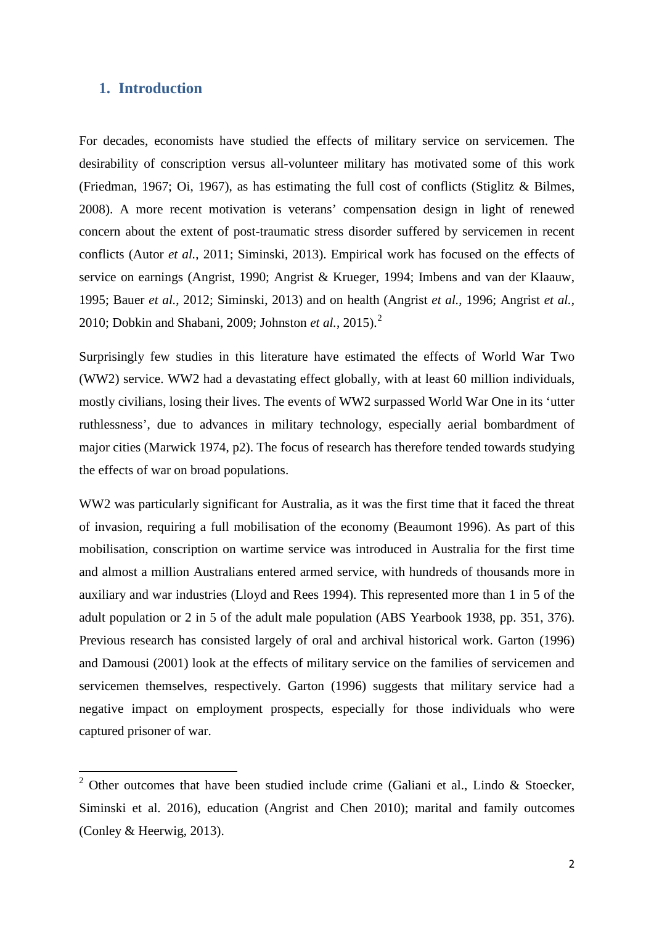## **1. Introduction**

For decades, economists have studied the effects of military service on servicemen. The desirability of conscription versus all-volunteer military has motivated some of this work (Friedman, 1967; Oi, 1967), as has estimating the full cost of conflicts (Stiglitz & Bilmes, 2008). A more recent motivation is veterans' compensation design in light of renewed concern about the extent of post-traumatic stress disorder suffered by servicemen in recent conflicts (Autor *et al.*, 2011; Siminski, 2013). Empirical work has focused on the effects of service on earnings (Angrist, 1990; Angrist & Krueger, 1994; Imbens and van der Klaauw, 1995; Bauer *et al.*, 2012; Siminski, 2013) and on health (Angrist *et al.*, 1996; Angrist *et al.*, 2010; Dobkin and Shabani, 2009; Johnston *et al.*, 2015).<sup>2</sup>

Surprisingly few studies in this literature have estimated the effects of World War Two (WW2) service. WW2 had a devastating effect globally, with at least 60 million individuals, mostly civilians, losing their lives. The events of WW2 surpassed World War One in its 'utter ruthlessness', due to advances in military technology, especially aerial bombardment of major cities (Marwick 1974, p2). The focus of research has therefore tended towards studying the effects of war on broad populations.

WW2 was particularly significant for Australia, as it was the first time that it faced the threat of invasion, requiring a full mobilisation of the economy (Beaumont 1996). As part of this mobilisation, conscription on wartime service was introduced in Australia for the first time and almost a million Australians entered armed service, with hundreds of thousands more in auxiliary and war industries (Lloyd and Rees 1994). This represented more than 1 in 5 of the adult population or 2 in 5 of the adult male population (ABS Yearbook 1938, pp. 351, 376). Previous research has consisted largely of oral and archival historical work. Garton (1996) and Damousi (2001) look at the effects of military service on the families of servicemen and servicemen themselves, respectively. Garton (1996) suggests that military service had a negative impact on employment prospects, especially for those individuals who were captured prisoner of war.

<span id="page-3-0"></span><sup>&</sup>lt;sup>2</sup> Other outcomes that have been studied include crime (Galiani et al., Lindo & Stoecker, Siminski et al. 2016), education (Angrist and Chen 2010); marital and family outcomes (Conley & Heerwig, 2013).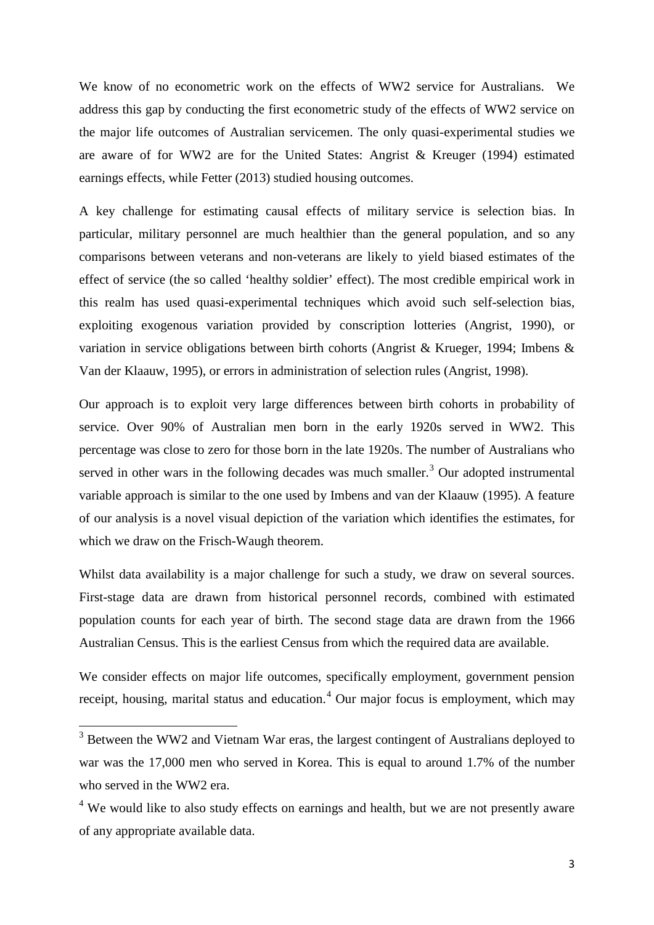We know of no econometric work on the effects of WW2 service for Australians. We address this gap by conducting the first econometric study of the effects of WW2 service on the major life outcomes of Australian servicemen. The only quasi-experimental studies we are aware of for WW2 are for the United States: Angrist & Kreuger (1994) estimated earnings effects, while Fetter (2013) studied housing outcomes.

A key challenge for estimating causal effects of military service is selection bias. In particular, military personnel are much healthier than the general population, and so any comparisons between veterans and non-veterans are likely to yield biased estimates of the effect of service (the so called 'healthy soldier' effect). The most credible empirical work in this realm has used quasi-experimental techniques which avoid such self-selection bias, exploiting exogenous variation provided by conscription lotteries (Angrist, 1990), or variation in service obligations between birth cohorts (Angrist & Krueger, 1994; Imbens & Van der Klaauw, 1995), or errors in administration of selection rules (Angrist, 1998).

Our approach is to exploit very large differences between birth cohorts in probability of service. Over 90% of Australian men born in the early 1920s served in WW2. This percentage was close to zero for those born in the late 1920s. The number of Australians who served in other wars in the following decades was much smaller.<sup>[3](#page-3-0)</sup> Our adopted instrumental variable approach is similar to the one used by Imbens and van der Klaauw (1995). A feature of our analysis is a novel visual depiction of the variation which identifies the estimates, for which we draw on the Frisch-Waugh theorem.

Whilst data availability is a major challenge for such a study, we draw on several sources. First-stage data are drawn from historical personnel records, combined with estimated population counts for each year of birth. The second stage data are drawn from the 1966 Australian Census. This is the earliest Census from which the required data are available.

We consider effects on major life outcomes, specifically employment, government pension receipt, housing, marital status and education.<sup>[4](#page-4-0)</sup> Our major focus is employment, which may

 $3$  Between the WW2 and Vietnam War eras, the largest contingent of Australians deployed to war was the 17,000 men who served in Korea. This is equal to around 1.7% of the number who served in the WW2 era.

<span id="page-4-0"></span><sup>&</sup>lt;sup>4</sup> We would like to also study effects on earnings and health, but we are not presently aware of any appropriate available data.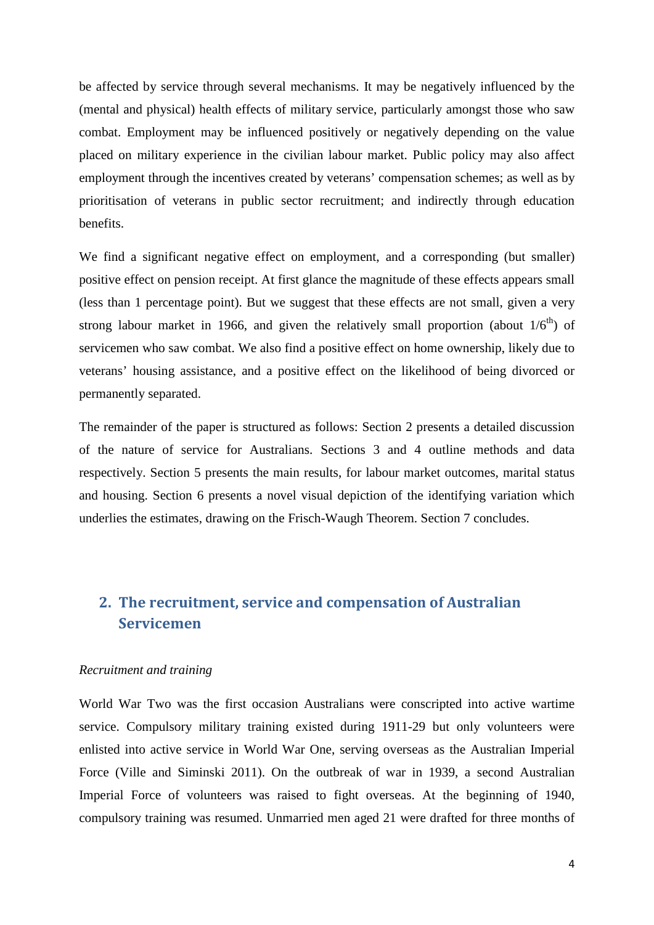be affected by service through several mechanisms. It may be negatively influenced by the (mental and physical) health effects of military service, particularly amongst those who saw combat. Employment may be influenced positively or negatively depending on the value placed on military experience in the civilian labour market. Public policy may also affect employment through the incentives created by veterans' compensation schemes; as well as by prioritisation of veterans in public sector recruitment; and indirectly through education benefits.

We find a significant negative effect on employment, and a corresponding (but smaller) positive effect on pension receipt. At first glance the magnitude of these effects appears small (less than 1 percentage point). But we suggest that these effects are not small, given a very strong labour market in 1966, and given the relatively small proportion (about  $1/6<sup>th</sup>$ ) of servicemen who saw combat. We also find a positive effect on home ownership, likely due to veterans' housing assistance, and a positive effect on the likelihood of being divorced or permanently separated.

The remainder of the paper is structured as follows: Section 2 presents a detailed discussion of the nature of service for Australians. Sections 3 and 4 outline methods and data respectively. Section 5 presents the main results, for labour market outcomes, marital status and housing. Section 6 presents a novel visual depiction of the identifying variation which underlies the estimates, drawing on the Frisch-Waugh Theorem. Section 7 concludes.

# **2. The recruitment, service and compensation of Australian Servicemen**

#### *Recruitment and training*

World War Two was the first occasion Australians were conscripted into active wartime service. Compulsory military training existed during 1911-29 but only volunteers were enlisted into active service in World War One, serving overseas as the Australian Imperial Force (Ville and Siminski 2011). On the outbreak of war in 1939, a second Australian Imperial Force of volunteers was raised to fight overseas. At the beginning of 1940, compulsory training was resumed. Unmarried men aged 21 were drafted for three months of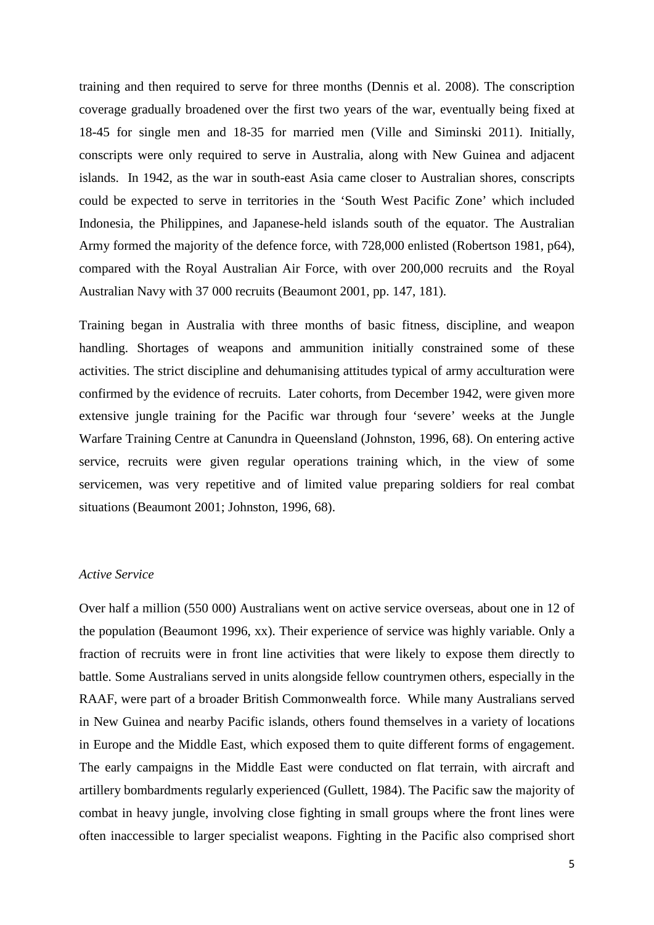training and then required to serve for three months (Dennis et al. 2008). The conscription coverage gradually broadened over the first two years of the war, eventually being fixed at 18-45 for single men and 18-35 for married men (Ville and Siminski 2011). Initially, conscripts were only required to serve in Australia, along with New Guinea and adjacent islands. In 1942, as the war in south-east Asia came closer to Australian shores, conscripts could be expected to serve in territories in the 'South West Pacific Zone' which included Indonesia, the Philippines, and Japanese-held islands south of the equator. The Australian Army formed the majority of the defence force, with 728,000 enlisted (Robertson 1981, p64), compared with the Royal Australian Air Force, with over 200,000 recruits and the Royal Australian Navy with 37 000 recruits (Beaumont 2001, pp. 147, 181).

Training began in Australia with three months of basic fitness, discipline, and weapon handling. Shortages of weapons and ammunition initially constrained some of these activities. The strict discipline and dehumanising attitudes typical of army acculturation were confirmed by the evidence of recruits. Later cohorts, from December 1942, were given more extensive jungle training for the Pacific war through four 'severe' weeks at the Jungle Warfare Training Centre at Canundra in Queensland (Johnston, 1996, 68). On entering active service, recruits were given regular operations training which, in the view of some servicemen, was very repetitive and of limited value preparing soldiers for real combat situations (Beaumont 2001; Johnston, 1996, 68).

## *Active Service*

Over half a million (550 000) Australians went on active service overseas, about one in 12 of the population (Beaumont 1996, xx). Their experience of service was highly variable. Only a fraction of recruits were in front line activities that were likely to expose them directly to battle. Some Australians served in units alongside fellow countrymen others, especially in the RAAF, were part of a broader British Commonwealth force. While many Australians served in New Guinea and nearby Pacific islands, others found themselves in a variety of locations in Europe and the Middle East, which exposed them to quite different forms of engagement. The early campaigns in the Middle East were conducted on flat terrain, with aircraft and artillery bombardments regularly experienced (Gullett, 1984). The Pacific saw the majority of combat in heavy jungle, involving close fighting in small groups where the front lines were often inaccessible to larger specialist weapons. Fighting in the Pacific also comprised short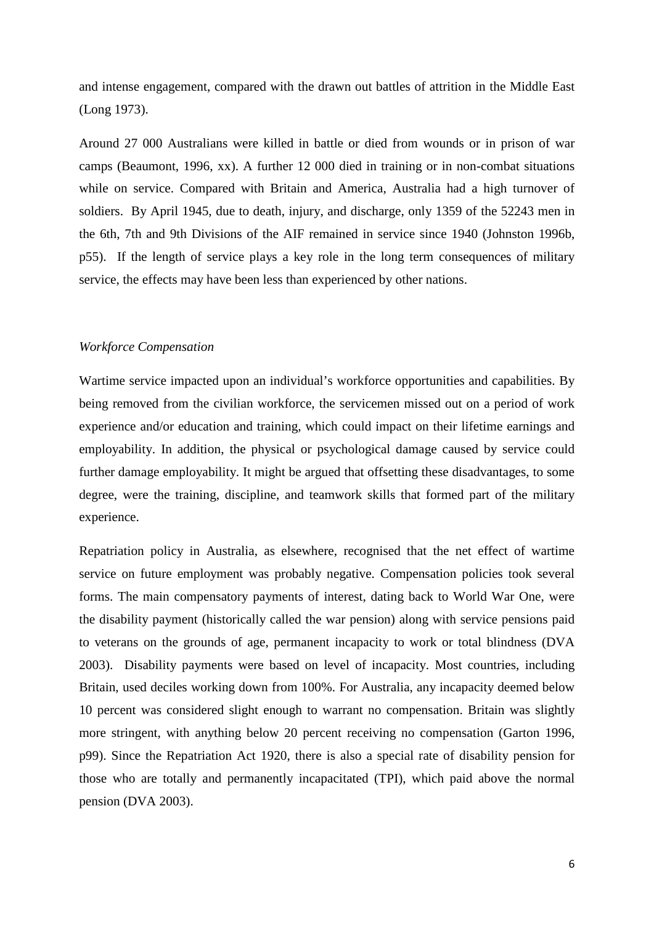and intense engagement, compared with the drawn out battles of attrition in the Middle East (Long 1973).

Around 27 000 Australians were killed in battle or died from wounds or in prison of war camps (Beaumont, 1996, xx). A further 12 000 died in training or in non-combat situations while on service. Compared with Britain and America, Australia had a high turnover of soldiers. By April 1945, due to death, injury, and discharge, only 1359 of the 52243 men in the 6th, 7th and 9th Divisions of the AIF remained in service since 1940 (Johnston 1996b, p55). If the length of service plays a key role in the long term consequences of military service, the effects may have been less than experienced by other nations.

#### *Workforce Compensation*

Wartime service impacted upon an individual's workforce opportunities and capabilities. By being removed from the civilian workforce, the servicemen missed out on a period of work experience and/or education and training, which could impact on their lifetime earnings and employability. In addition, the physical or psychological damage caused by service could further damage employability. It might be argued that offsetting these disadvantages, to some degree, were the training, discipline, and teamwork skills that formed part of the military experience.

Repatriation policy in Australia, as elsewhere, recognised that the net effect of wartime service on future employment was probably negative. Compensation policies took several forms. The main compensatory payments of interest, dating back to World War One, were the disability payment (historically called the war pension) along with service pensions paid to veterans on the grounds of age, permanent incapacity to work or total blindness (DVA 2003). Disability payments were based on level of incapacity. Most countries, including Britain, used deciles working down from 100%. For Australia, any incapacity deemed below 10 percent was considered slight enough to warrant no compensation. Britain was slightly more stringent, with anything below 20 percent receiving no compensation (Garton 1996, p99). Since the Repatriation Act 1920, there is also a special rate of disability pension for those who are totally and permanently incapacitated (TPI), which paid above the normal pension (DVA 2003).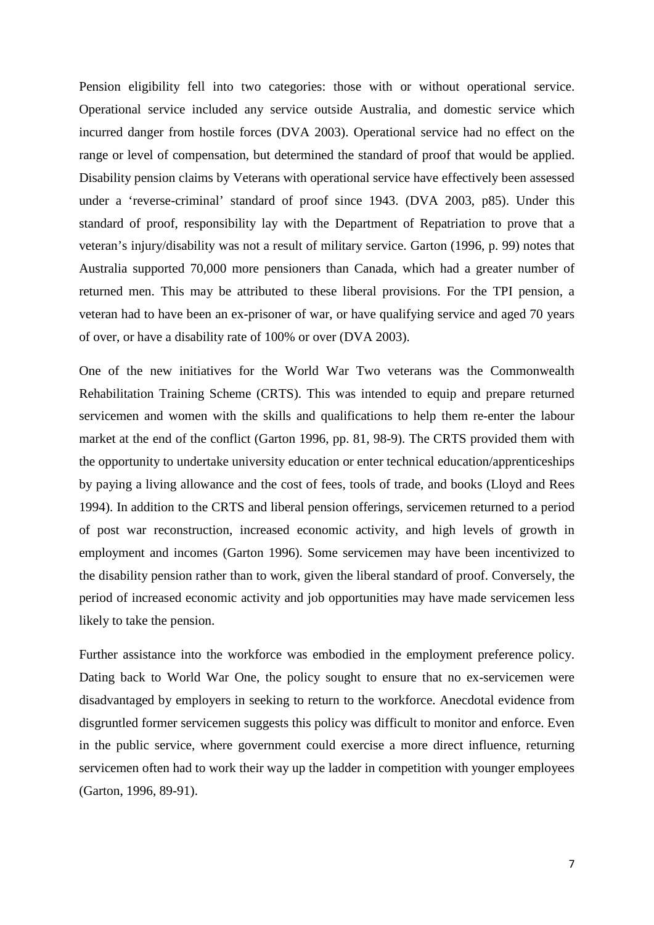Pension eligibility fell into two categories: those with or without operational service. Operational service included any service outside Australia, and domestic service which incurred danger from hostile forces (DVA 2003). Operational service had no effect on the range or level of compensation, but determined the standard of proof that would be applied. Disability pension claims by Veterans with operational service have effectively been assessed under a 'reverse-criminal' standard of proof since 1943. (DVA 2003, p85). Under this standard of proof, responsibility lay with the Department of Repatriation to prove that a veteran's injury/disability was not a result of military service. Garton (1996, p. 99) notes that Australia supported 70,000 more pensioners than Canada, which had a greater number of returned men. This may be attributed to these liberal provisions. For the TPI pension, a veteran had to have been an ex-prisoner of war, or have qualifying service and aged 70 years of over, or have a disability rate of 100% or over (DVA 2003).

One of the new initiatives for the World War Two veterans was the Commonwealth Rehabilitation Training Scheme (CRTS). This was intended to equip and prepare returned servicemen and women with the skills and qualifications to help them re-enter the labour market at the end of the conflict (Garton 1996, pp. 81, 98-9). The CRTS provided them with the opportunity to undertake university education or enter technical education/apprenticeships by paying a living allowance and the cost of fees, tools of trade, and books (Lloyd and Rees 1994). In addition to the CRTS and liberal pension offerings, servicemen returned to a period of post war reconstruction, increased economic activity, and high levels of growth in employment and incomes (Garton 1996). Some servicemen may have been incentivized to the disability pension rather than to work, given the liberal standard of proof. Conversely, the period of increased economic activity and job opportunities may have made servicemen less likely to take the pension.

Further assistance into the workforce was embodied in the employment preference policy. Dating back to World War One, the policy sought to ensure that no ex-servicemen were disadvantaged by employers in seeking to return to the workforce. Anecdotal evidence from disgruntled former servicemen suggests this policy was difficult to monitor and enforce. Even in the public service, where government could exercise a more direct influence, returning servicemen often had to work their way up the ladder in competition with younger employees (Garton, 1996, 89-91).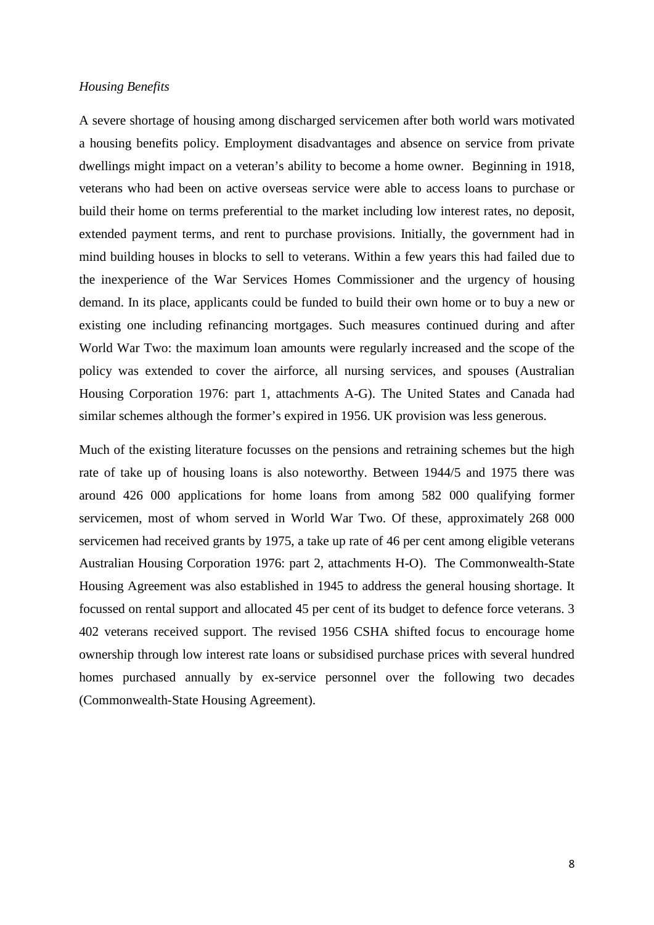#### *Housing Benefits*

A severe shortage of housing among discharged servicemen after both world wars motivated a housing benefits policy. Employment disadvantages and absence on service from private dwellings might impact on a veteran's ability to become a home owner. Beginning in 1918, veterans who had been on active overseas service were able to access loans to purchase or build their home on terms preferential to the market including low interest rates, no deposit, extended payment terms, and rent to purchase provisions. Initially, the government had in mind building houses in blocks to sell to veterans. Within a few years this had failed due to the inexperience of the War Services Homes Commissioner and the urgency of housing demand. In its place, applicants could be funded to build their own home or to buy a new or existing one including refinancing mortgages. Such measures continued during and after World War Two: the maximum loan amounts were regularly increased and the scope of the policy was extended to cover the airforce, all nursing services, and spouses (Australian Housing Corporation 1976: part 1, attachments A-G). The United States and Canada had similar schemes although the former's expired in 1956. UK provision was less generous.

Much of the existing literature focusses on the pensions and retraining schemes but the high rate of take up of housing loans is also noteworthy. Between 1944/5 and 1975 there was around 426 000 applications for home loans from among 582 000 qualifying former servicemen, most of whom served in World War Two. Of these, approximately 268 000 servicemen had received grants by 1975, a take up rate of 46 per cent among eligible veterans Australian Housing Corporation 1976: part 2, attachments H-O). The Commonwealth-State Housing Agreement was also established in 1945 to address the general housing shortage. It focussed on rental support and allocated 45 per cent of its budget to defence force veterans. 3 402 veterans received support. The revised 1956 CSHA shifted focus to encourage home ownership through low interest rate loans or subsidised purchase prices with several hundred homes purchased annually by ex-service personnel over the following two decades (Commonwealth-State Housing Agreement).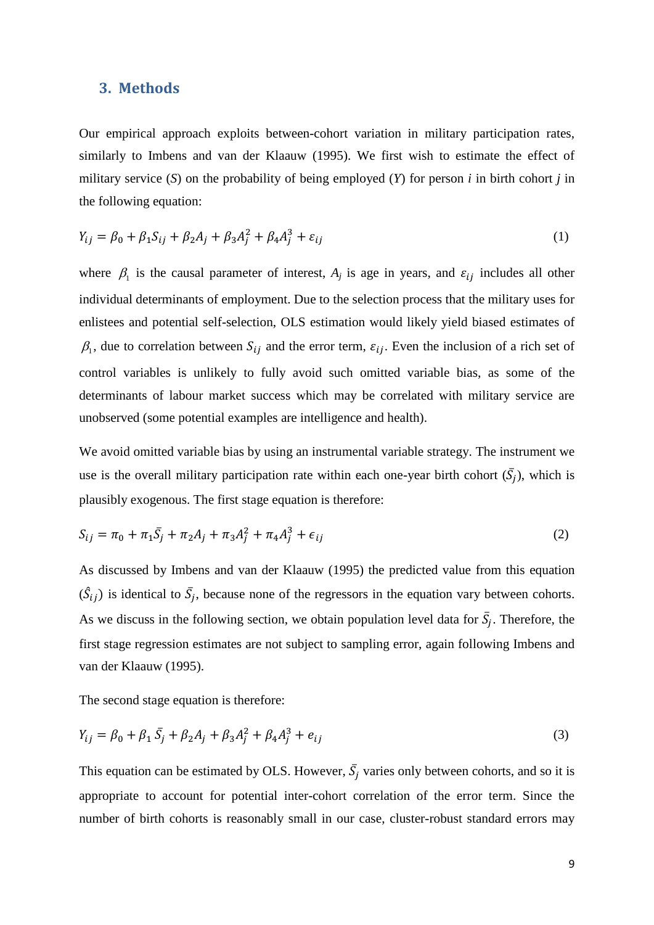#### **3. Methods**

Our empirical approach exploits between-cohort variation in military participation rates, similarly to Imbens and van der Klaauw (1995). We first wish to estimate the effect of military service (*S*) on the probability of being employed (*Y*) for person *i* in birth cohort *j* in the following equation:

$$
Y_{ij} = \beta_0 + \beta_1 S_{ij} + \beta_2 A_j + \beta_3 A_j^2 + \beta_4 A_j^3 + \varepsilon_{ij}
$$
 (1)

where  $\beta_1$  is the causal parameter of interest,  $A_j$  is age in years, and  $\varepsilon_{ij}$  includes all other individual determinants of employment. Due to the selection process that the military uses for enlistees and potential self-selection, OLS estimation would likely yield biased estimates of  $\beta_1$ , due to correlation between  $S_{ij}$  and the error term,  $\varepsilon_{ij}$ . Even the inclusion of a rich set of control variables is unlikely to fully avoid such omitted variable bias, as some of the determinants of labour market success which may be correlated with military service are unobserved (some potential examples are intelligence and health).

We avoid omitted variable bias by using an instrumental variable strategy. The instrument we use is the overall military participation rate within each one-year birth cohort  $(\bar{S}_i)$ , which is plausibly exogenous. The first stage equation is therefore:

$$
S_{ij} = \pi_0 + \pi_1 \bar{S}_j + \pi_2 A_j + \pi_3 A_j^2 + \pi_4 A_j^3 + \epsilon_{ij}
$$
 (2)

As discussed by Imbens and van der Klaauw (1995) the predicted value from this equation  $(\hat{S}_{ij})$  is identical to  $\bar{S}_j$ , because none of the regressors in the equation vary between cohorts. As we discuss in the following section, we obtain population level data for  $\bar{S}_i$ . Therefore, the first stage regression estimates are not subject to sampling error, again following Imbens and van der Klaauw (1995).

The second stage equation is therefore:

$$
Y_{ij} = \beta_0 + \beta_1 \bar{S}_j + \beta_2 A_j + \beta_3 A_j^2 + \beta_4 A_j^3 + e_{ij}
$$
\n(3)

This equation can be estimated by OLS. However,  $\overline{S}_i$  varies only between cohorts, and so it is appropriate to account for potential inter-cohort correlation of the error term. Since the number of birth cohorts is reasonably small in our case, cluster-robust standard errors may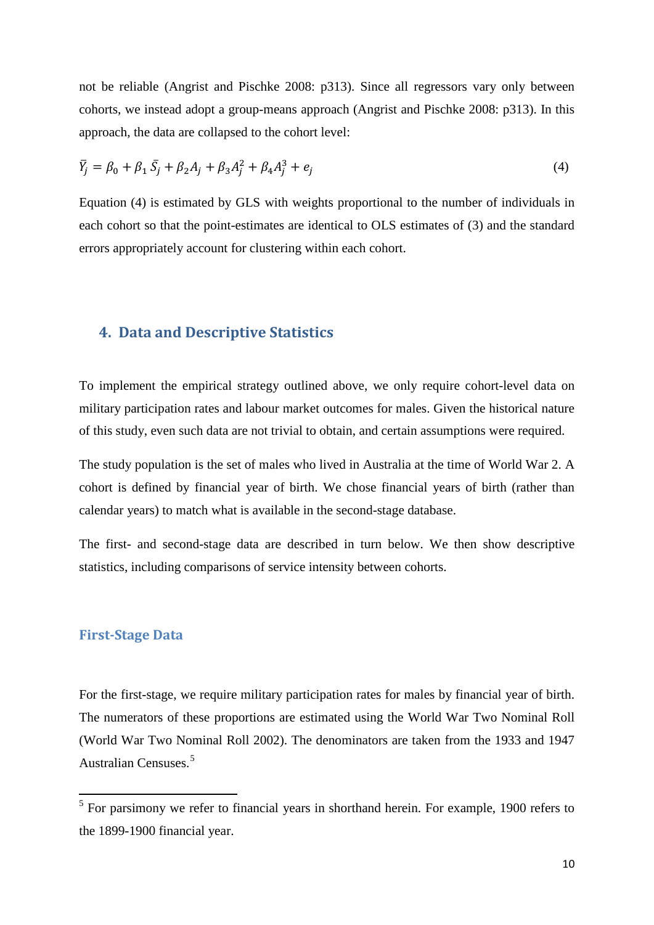not be reliable (Angrist and Pischke 2008: p313). Since all regressors vary only between cohorts, we instead adopt a group-means approach (Angrist and Pischke 2008: p313). In this approach, the data are collapsed to the cohort level:

$$
\bar{Y}_j = \beta_0 + \beta_1 \bar{S}_j + \beta_2 A_j + \beta_3 A_j^2 + \beta_4 A_j^3 + e_j \tag{4}
$$

Equation (4) is estimated by GLS with weights proportional to the number of individuals in each cohort so that the point-estimates are identical to OLS estimates of (3) and the standard errors appropriately account for clustering within each cohort.

## **4. Data and Descriptive Statistics**

To implement the empirical strategy outlined above, we only require cohort-level data on military participation rates and labour market outcomes for males. Given the historical nature of this study, even such data are not trivial to obtain, and certain assumptions were required.

The study population is the set of males who lived in Australia at the time of World War 2. A cohort is defined by financial year of birth. We chose financial years of birth (rather than calendar years) to match what is available in the second-stage database.

The first- and second-stage data are described in turn below. We then show descriptive statistics, including comparisons of service intensity between cohorts.

#### **First-Stage Data**

<span id="page-11-0"></span>For the first-stage, we require military participation rates for males by financial year of birth. The numerators of these proportions are estimated using the World War Two Nominal Roll (World War Two Nominal Roll 2002). The denominators are taken from the 1933 and 1947 Australian Censuses. [5](#page-4-0)

 $5$  For parsimony we refer to financial years in shorthand herein. For example, 1900 refers to the 1899-1900 financial year.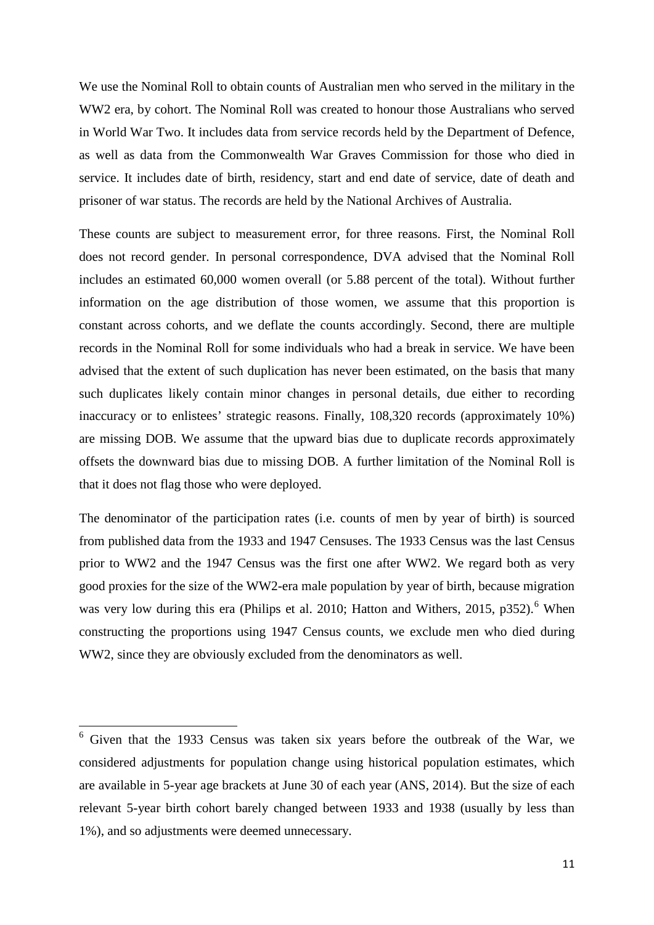We use the Nominal Roll to obtain counts of Australian men who served in the military in the WW2 era, by cohort. The Nominal Roll was created to honour those Australians who served in World War Two. It includes data from service records held by the Department of Defence, as well as data from the Commonwealth War Graves Commission for those who died in service. It includes date of birth, residency, start and end date of service, date of death and prisoner of war status. The records are held by the National Archives of Australia.

These counts are subject to measurement error, for three reasons. First, the Nominal Roll does not record gender. In personal correspondence, DVA advised that the Nominal Roll includes an estimated 60,000 women overall (or 5.88 percent of the total). Without further information on the age distribution of those women, we assume that this proportion is constant across cohorts, and we deflate the counts accordingly. Second, there are multiple records in the Nominal Roll for some individuals who had a break in service. We have been advised that the extent of such duplication has never been estimated, on the basis that many such duplicates likely contain minor changes in personal details, due either to recording inaccuracy or to enlistees' strategic reasons. Finally, 108,320 records (approximately 10%) are missing DOB. We assume that the upward bias due to duplicate records approximately offsets the downward bias due to missing DOB. A further limitation of the Nominal Roll is that it does not flag those who were deployed.

The denominator of the participation rates (i.e. counts of men by year of birth) is sourced from published data from the 1933 and 1947 Censuses. The 1933 Census was the last Census prior to WW2 and the 1947 Census was the first one after WW2. We regard both as very good proxies for the size of the WW2-era male population by year of birth, because migration was very low during this era (Philips et al. 2010; Hatton and Withers, 2015, p352).<sup>[6](#page-11-0)</sup> When constructing the proportions using 1947 Census counts, we exclude men who died during WW2, since they are obviously excluded from the denominators as well.

<span id="page-12-0"></span><sup>6</sup> Given that the 1933 Census was taken six years before the outbreak of the War, we considered adjustments for population change using historical population estimates, which are available in 5-year age brackets at June 30 of each year (ANS, 2014). But the size of each relevant 5-year birth cohort barely changed between 1933 and 1938 (usually by less than 1%), and so adjustments were deemed unnecessary.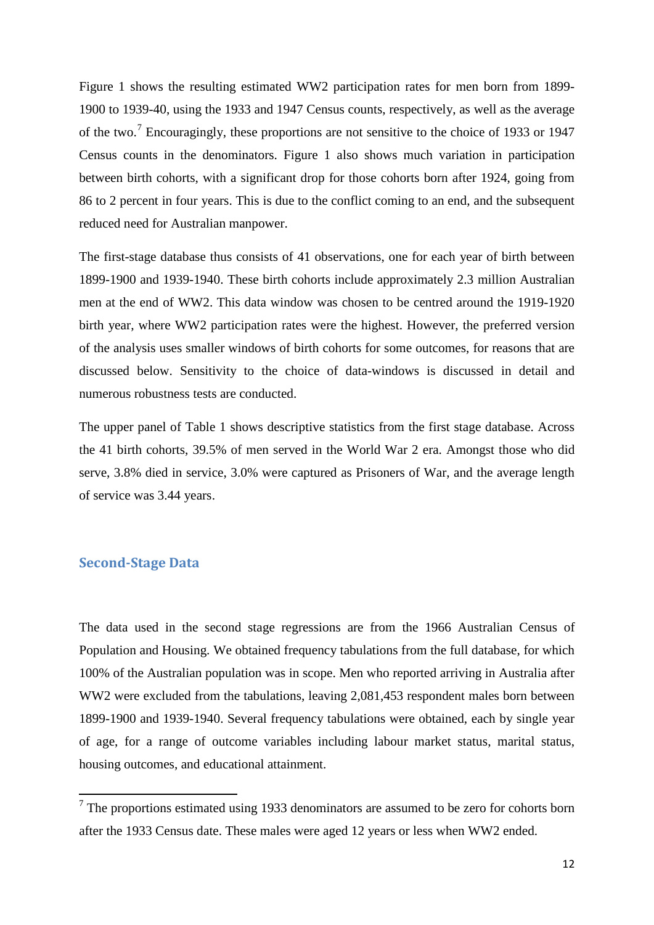Figure 1 shows the resulting estimated WW2 participation rates for men born from 1899- 1900 to 1939-40, using the 1933 and 1947 Census counts, respectively, as well as the average of the two.[7](#page-12-0) Encouragingly, these proportions are not sensitive to the choice of 1933 or 1947 Census counts in the denominators. Figure 1 also shows much variation in participation between birth cohorts, with a significant drop for those cohorts born after 1924, going from 86 to 2 percent in four years. This is due to the conflict coming to an end, and the subsequent reduced need for Australian manpower.

The first-stage database thus consists of 41 observations, one for each year of birth between 1899-1900 and 1939-1940. These birth cohorts include approximately 2.3 million Australian men at the end of WW2. This data window was chosen to be centred around the 1919-1920 birth year, where WW2 participation rates were the highest. However, the preferred version of the analysis uses smaller windows of birth cohorts for some outcomes, for reasons that are discussed below. Sensitivity to the choice of data-windows is discussed in detail and numerous robustness tests are conducted.

The upper panel of Table 1 shows descriptive statistics from the first stage database. Across the 41 birth cohorts, 39.5% of men served in the World War 2 era. Amongst those who did serve, 3.8% died in service, 3.0% were captured as Prisoners of War, and the average length of service was 3.44 years.

### **Second-Stage Data**

The data used in the second stage regressions are from the 1966 Australian Census of Population and Housing. We obtained frequency tabulations from the full database, for which 100% of the Australian population was in scope. Men who reported arriving in Australia after WW2 were excluded from the tabulations, leaving 2,081,453 respondent males born between 1899-1900 and 1939-1940. Several frequency tabulations were obtained, each by single year of age, for a range of outcome variables including labour market status, marital status, housing outcomes, and educational attainment.

<span id="page-13-0"></span> $<sup>7</sup>$  The proportions estimated using 1933 denominators are assumed to be zero for cohorts born</sup> after the 1933 Census date. These males were aged 12 years or less when WW2 ended.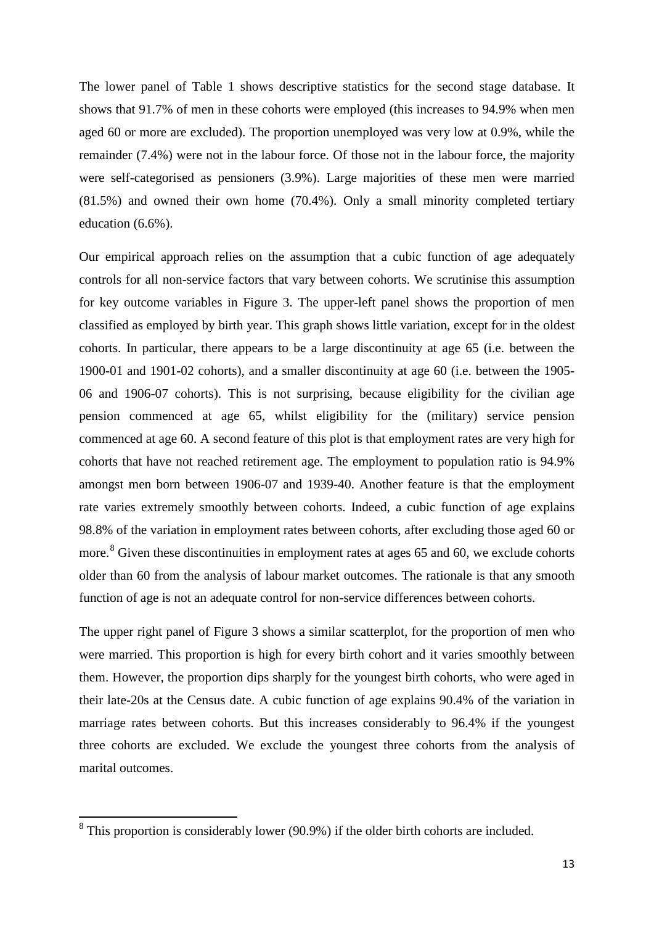The lower panel of Table 1 shows descriptive statistics for the second stage database. It shows that 91.7% of men in these cohorts were employed (this increases to 94.9% when men aged 60 or more are excluded). The proportion unemployed was very low at 0.9%, while the remainder (7.4%) were not in the labour force. Of those not in the labour force, the majority were self-categorised as pensioners (3.9%). Large majorities of these men were married (81.5%) and owned their own home (70.4%). Only a small minority completed tertiary education (6.6%).

Our empirical approach relies on the assumption that a cubic function of age adequately controls for all non-service factors that vary between cohorts. We scrutinise this assumption for key outcome variables in Figure 3. The upper-left panel shows the proportion of men classified as employed by birth year. This graph shows little variation, except for in the oldest cohorts. In particular, there appears to be a large discontinuity at age 65 (i.e. between the 1900-01 and 1901-02 cohorts), and a smaller discontinuity at age 60 (i.e. between the 1905- 06 and 1906-07 cohorts). This is not surprising, because eligibility for the civilian age pension commenced at age 65, whilst eligibility for the (military) service pension commenced at age 60. A second feature of this plot is that employment rates are very high for cohorts that have not reached retirement age. The employment to population ratio is 94.9% amongst men born between 1906-07 and 1939-40. Another feature is that the employment rate varies extremely smoothly between cohorts. Indeed, a cubic function of age explains 98.8% of the variation in employment rates between cohorts, after excluding those aged 60 or more.<sup>[8](#page-13-0)</sup> Given these discontinuities in employment rates at ages 65 and 60, we exclude cohorts older than 60 from the analysis of labour market outcomes. The rationale is that any smooth function of age is not an adequate control for non-service differences between cohorts.

The upper right panel of Figure 3 shows a similar scatterplot, for the proportion of men who were married. This proportion is high for every birth cohort and it varies smoothly between them. However, the proportion dips sharply for the youngest birth cohorts, who were aged in their late-20s at the Census date. A cubic function of age explains 90.4% of the variation in marriage rates between cohorts. But this increases considerably to 96.4% if the youngest three cohorts are excluded. We exclude the youngest three cohorts from the analysis of marital outcomes.

<span id="page-14-0"></span><sup>8</sup> This proportion is considerably lower (90.9%) if the older birth cohorts are included.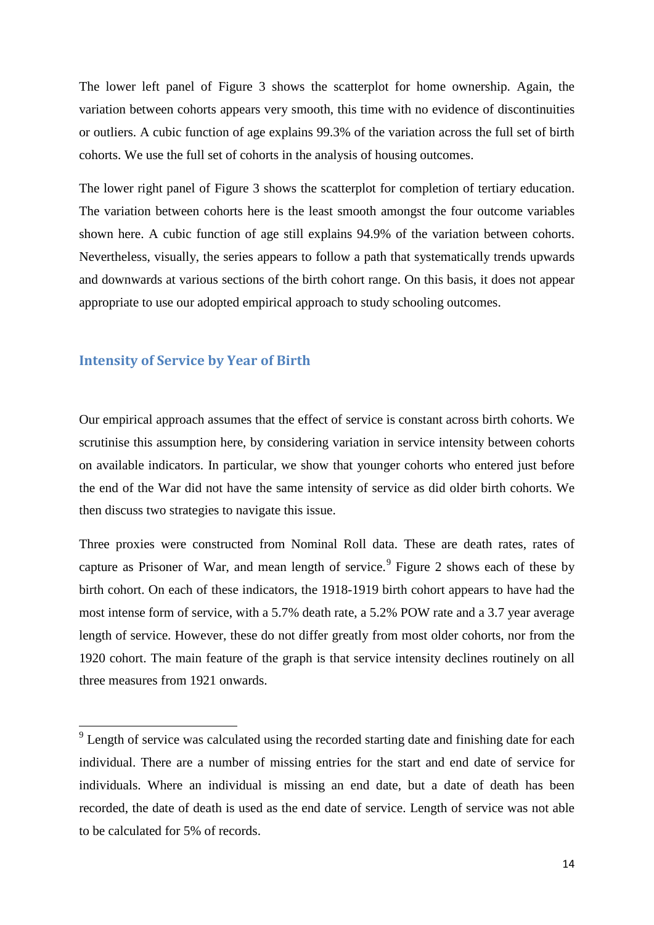The lower left panel of Figure 3 shows the scatterplot for home ownership. Again, the variation between cohorts appears very smooth, this time with no evidence of discontinuities or outliers. A cubic function of age explains 99.3% of the variation across the full set of birth cohorts. We use the full set of cohorts in the analysis of housing outcomes.

The lower right panel of Figure 3 shows the scatterplot for completion of tertiary education. The variation between cohorts here is the least smooth amongst the four outcome variables shown here. A cubic function of age still explains 94.9% of the variation between cohorts. Nevertheless, visually, the series appears to follow a path that systematically trends upwards and downwards at various sections of the birth cohort range. On this basis, it does not appear appropriate to use our adopted empirical approach to study schooling outcomes.

#### **Intensity of Service by Year of Birth**

Our empirical approach assumes that the effect of service is constant across birth cohorts. We scrutinise this assumption here, by considering variation in service intensity between cohorts on available indicators. In particular, we show that younger cohorts who entered just before the end of the War did not have the same intensity of service as did older birth cohorts. We then discuss two strategies to navigate this issue.

Three proxies were constructed from Nominal Roll data. These are death rates, rates of capture as Prisoner of War, and mean length of service.<sup>[9](#page-14-0)</sup> Figure 2 shows each of these by birth cohort. On each of these indicators, the 1918-1919 birth cohort appears to have had the most intense form of service, with a 5.7% death rate, a 5.2% POW rate and a 3.7 year average length of service. However, these do not differ greatly from most older cohorts, nor from the 1920 cohort. The main feature of the graph is that service intensity declines routinely on all three measures from 1921 onwards.

 $9$  Length of service was calculated using the recorded starting date and finishing date for each individual. There are a number of missing entries for the start and end date of service for individuals. Where an individual is missing an end date, but a date of death has been recorded, the date of death is used as the end date of service. Length of service was not able to be calculated for 5% of records.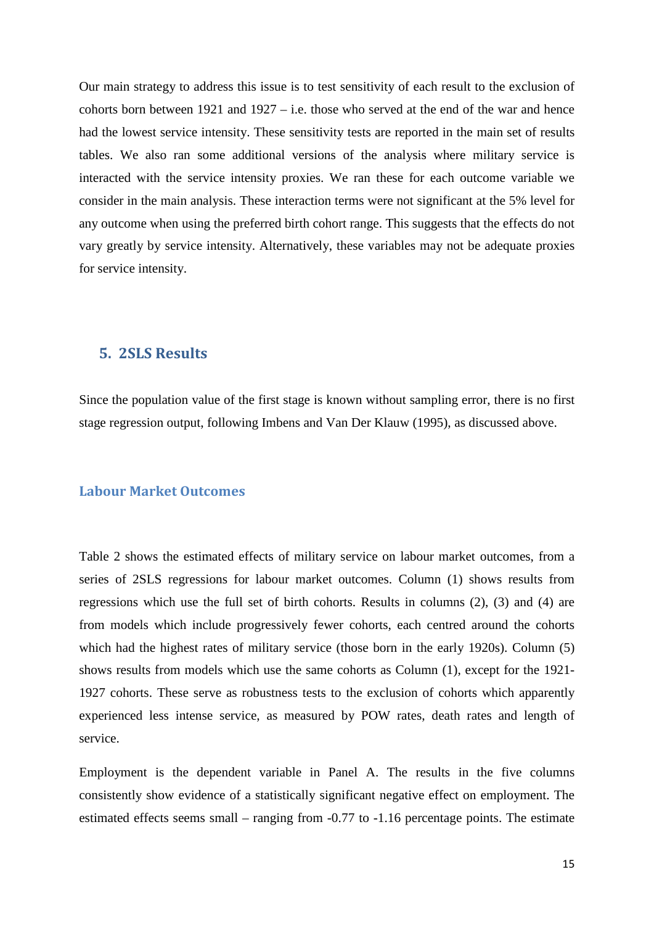Our main strategy to address this issue is to test sensitivity of each result to the exclusion of cohorts born between 1921 and 1927 – i.e. those who served at the end of the war and hence had the lowest service intensity. These sensitivity tests are reported in the main set of results tables. We also ran some additional versions of the analysis where military service is interacted with the service intensity proxies. We ran these for each outcome variable we consider in the main analysis. These interaction terms were not significant at the 5% level for any outcome when using the preferred birth cohort range. This suggests that the effects do not vary greatly by service intensity. Alternatively, these variables may not be adequate proxies for service intensity.

## **5. 2SLS Results**

Since the population value of the first stage is known without sampling error, there is no first stage regression output, following Imbens and Van Der Klauw (1995), as discussed above.

#### **Labour Market Outcomes**

Table 2 shows the estimated effects of military service on labour market outcomes, from a series of 2SLS regressions for labour market outcomes. Column (1) shows results from regressions which use the full set of birth cohorts. Results in columns (2), (3) and (4) are from models which include progressively fewer cohorts, each centred around the cohorts which had the highest rates of military service (those born in the early 1920s). Column (5) shows results from models which use the same cohorts as Column (1), except for the 1921- 1927 cohorts. These serve as robustness tests to the exclusion of cohorts which apparently experienced less intense service, as measured by POW rates, death rates and length of service.

Employment is the dependent variable in Panel A. The results in the five columns consistently show evidence of a statistically significant negative effect on employment. The estimated effects seems small – ranging from -0.77 to -1.16 percentage points. The estimate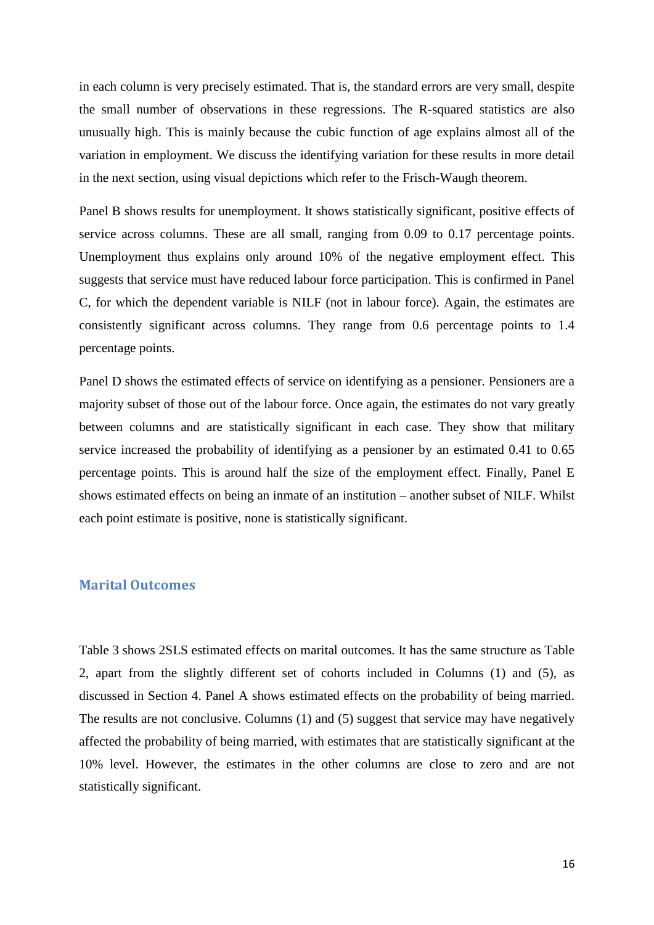in each column is very precisely estimated. That is, the standard errors are very small, despite the small number of observations in these regressions. The R-squared statistics are also unusually high. This is mainly because the cubic function of age explains almost all of the variation in employment. We discuss the identifying variation for these results in more detail in the next section, using visual depictions which refer to the Frisch-Waugh theorem.

Panel B shows results for unemployment. It shows statistically significant, positive effects of service across columns. These are all small, ranging from 0.09 to 0.17 percentage points. Unemployment thus explains only around 10% of the negative employment effect. This suggests that service must have reduced labour force participation. This is confirmed in Panel C, for which the dependent variable is NILF (not in labour force). Again, the estimates are consistently significant across columns. They range from 0.6 percentage points to 1.4 percentage points.

Panel D shows the estimated effects of service on identifying as a pensioner. Pensioners are a majority subset of those out of the labour force. Once again, the estimates do not vary greatly between columns and are statistically significant in each case. They show that military service increased the probability of identifying as a pensioner by an estimated 0.41 to 0.65 percentage points. This is around half the size of the employment effect. Finally, Panel E shows estimated effects on being an inmate of an institution – another subset of NILF. Whilst each point estimate is positive, none is statistically significant.

#### **Marital Outcomes**

Table 3 shows 2SLS estimated effects on marital outcomes. It has the same structure as Table 2, apart from the slightly different set of cohorts included in Columns (1) and (5), as discussed in Section 4. Panel A shows estimated effects on the probability of being married. The results are not conclusive. Columns (1) and (5) suggest that service may have negatively affected the probability of being married, with estimates that are statistically significant at the 10% level. However, the estimates in the other columns are close to zero and are not statistically significant.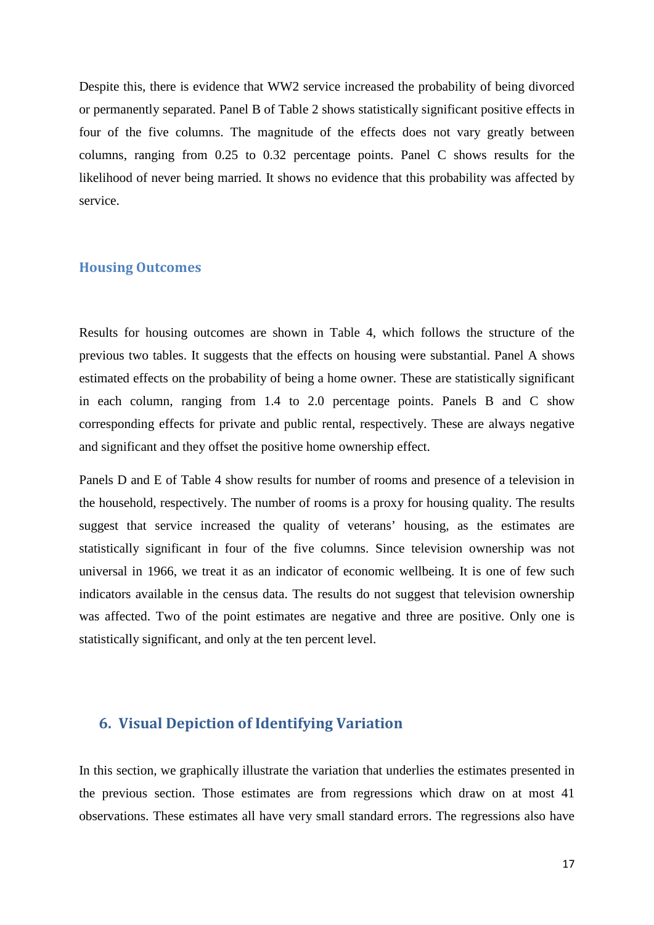Despite this, there is evidence that WW2 service increased the probability of being divorced or permanently separated. Panel B of Table 2 shows statistically significant positive effects in four of the five columns. The magnitude of the effects does not vary greatly between columns, ranging from 0.25 to 0.32 percentage points. Panel C shows results for the likelihood of never being married. It shows no evidence that this probability was affected by service.

#### **Housing Outcomes**

Results for housing outcomes are shown in Table 4, which follows the structure of the previous two tables. It suggests that the effects on housing were substantial. Panel A shows estimated effects on the probability of being a home owner. These are statistically significant in each column, ranging from 1.4 to 2.0 percentage points. Panels B and C show corresponding effects for private and public rental, respectively. These are always negative and significant and they offset the positive home ownership effect.

Panels D and E of Table 4 show results for number of rooms and presence of a television in the household, respectively. The number of rooms is a proxy for housing quality. The results suggest that service increased the quality of veterans' housing, as the estimates are statistically significant in four of the five columns. Since television ownership was not universal in 1966, we treat it as an indicator of economic wellbeing. It is one of few such indicators available in the census data. The results do not suggest that television ownership was affected. Two of the point estimates are negative and three are positive. Only one is statistically significant, and only at the ten percent level.

## **6. Visual Depiction of Identifying Variation**

In this section, we graphically illustrate the variation that underlies the estimates presented in the previous section. Those estimates are from regressions which draw on at most 41 observations. These estimates all have very small standard errors. The regressions also have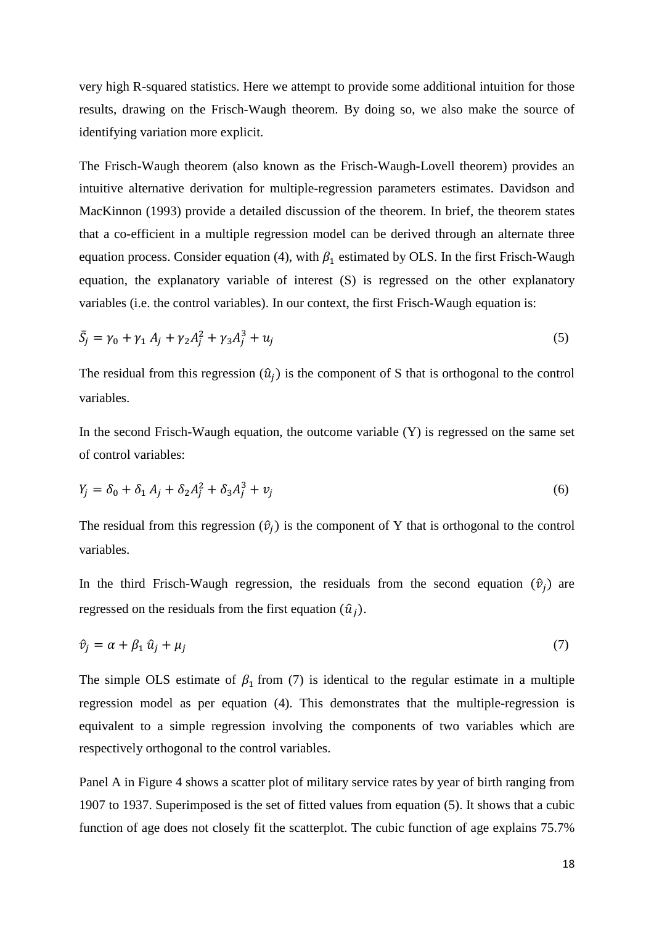very high R-squared statistics. Here we attempt to provide some additional intuition for those results, drawing on the Frisch-Waugh theorem. By doing so, we also make the source of identifying variation more explicit.

The Frisch-Waugh theorem (also known as the Frisch-Waugh-Lovell theorem) provides an intuitive alternative derivation for multiple-regression parameters estimates. Davidson and MacKinnon (1993) provide a detailed discussion of the theorem. In brief, the theorem states that a co-efficient in a multiple regression model can be derived through an alternate three equation process. Consider equation (4), with  $\beta_1$  estimated by OLS. In the first Frisch-Waugh equation, the explanatory variable of interest (S) is regressed on the other explanatory variables (i.e. the control variables). In our context, the first Frisch-Waugh equation is:

$$
\bar{S}_j = \gamma_0 + \gamma_1 A_j + \gamma_2 A_j^2 + \gamma_3 A_j^3 + u_j \tag{5}
$$

The residual from this regression  $(\hat{u}_i)$  is the component of S that is orthogonal to the control variables.

In the second Frisch-Waugh equation, the outcome variable (Y) is regressed on the same set of control variables:

$$
Y_j = \delta_0 + \delta_1 A_j + \delta_2 A_j^2 + \delta_3 A_j^3 + v_j \tag{6}
$$

The residual from this regression  $(\hat{v}_i)$  is the component of Y that is orthogonal to the control variables.

In the third Frisch-Waugh regression, the residuals from the second equation  $(\hat{v}_i)$  are regressed on the residuals from the first equation  $(\hat{u}_i)$ .

$$
\hat{v}_j = \alpha + \beta_1 \hat{u}_j + \mu_j \tag{7}
$$

The simple OLS estimate of  $\beta_1$  from (7) is identical to the regular estimate in a multiple regression model as per equation (4). This demonstrates that the multiple-regression is equivalent to a simple regression involving the components of two variables which are respectively orthogonal to the control variables.

Panel A in Figure 4 shows a scatter plot of military service rates by year of birth ranging from 1907 to 1937. Superimposed is the set of fitted values from equation (5). It shows that a cubic function of age does not closely fit the scatterplot. The cubic function of age explains 75.7%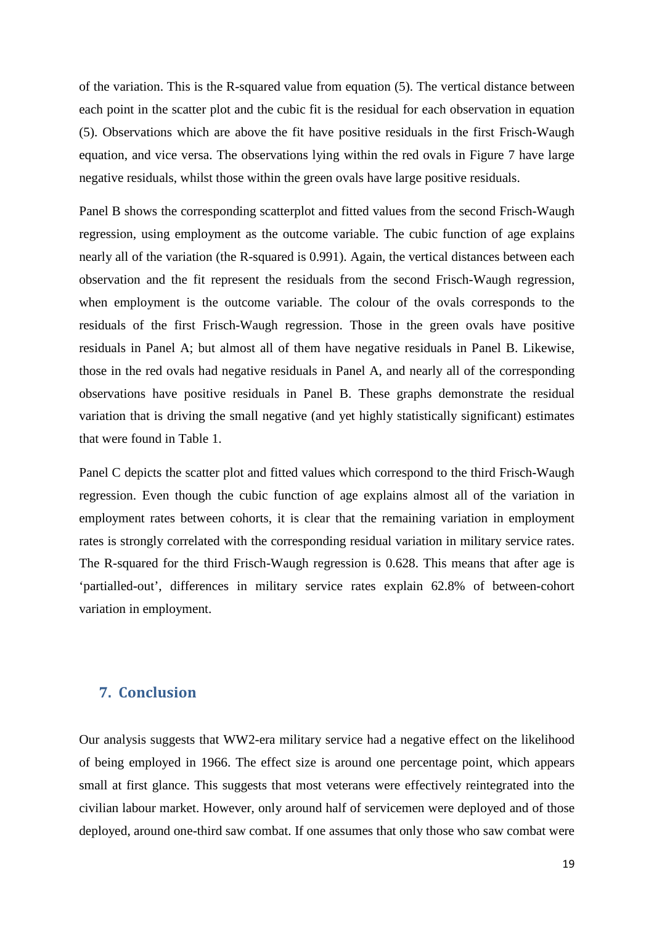of the variation. This is the R-squared value from equation (5). The vertical distance between each point in the scatter plot and the cubic fit is the residual for each observation in equation (5). Observations which are above the fit have positive residuals in the first Frisch-Waugh equation, and vice versa. The observations lying within the red ovals in Figure 7 have large negative residuals, whilst those within the green ovals have large positive residuals.

Panel B shows the corresponding scatterplot and fitted values from the second Frisch-Waugh regression, using employment as the outcome variable. The cubic function of age explains nearly all of the variation (the R-squared is 0.991). Again, the vertical distances between each observation and the fit represent the residuals from the second Frisch-Waugh regression, when employment is the outcome variable. The colour of the ovals corresponds to the residuals of the first Frisch-Waugh regression. Those in the green ovals have positive residuals in Panel A; but almost all of them have negative residuals in Panel B. Likewise, those in the red ovals had negative residuals in Panel A, and nearly all of the corresponding observations have positive residuals in Panel B. These graphs demonstrate the residual variation that is driving the small negative (and yet highly statistically significant) estimates that were found in Table 1.

Panel C depicts the scatter plot and fitted values which correspond to the third Frisch-Waugh regression. Even though the cubic function of age explains almost all of the variation in employment rates between cohorts, it is clear that the remaining variation in employment rates is strongly correlated with the corresponding residual variation in military service rates. The R-squared for the third Frisch-Waugh regression is 0.628. This means that after age is 'partialled-out', differences in military service rates explain 62.8% of between-cohort variation in employment.

# **7. Conclusion**

Our analysis suggests that WW2-era military service had a negative effect on the likelihood of being employed in 1966. The effect size is around one percentage point, which appears small at first glance. This suggests that most veterans were effectively reintegrated into the civilian labour market. However, only around half of servicemen were deployed and of those deployed, around one-third saw combat. If one assumes that only those who saw combat were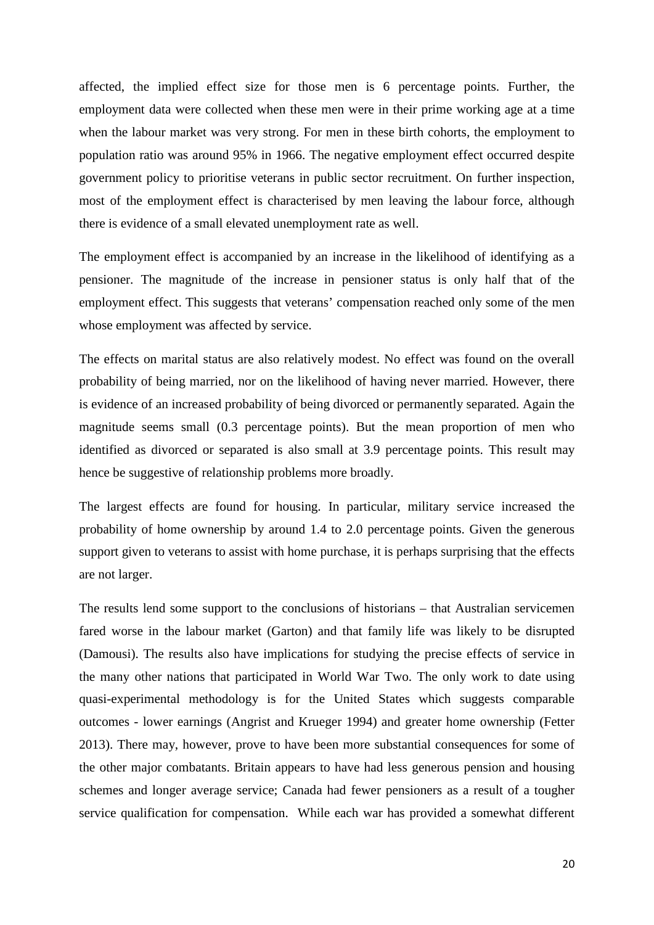affected, the implied effect size for those men is 6 percentage points. Further, the employment data were collected when these men were in their prime working age at a time when the labour market was very strong. For men in these birth cohorts, the employment to population ratio was around 95% in 1966. The negative employment effect occurred despite government policy to prioritise veterans in public sector recruitment. On further inspection, most of the employment effect is characterised by men leaving the labour force, although there is evidence of a small elevated unemployment rate as well.

The employment effect is accompanied by an increase in the likelihood of identifying as a pensioner. The magnitude of the increase in pensioner status is only half that of the employment effect. This suggests that veterans' compensation reached only some of the men whose employment was affected by service.

The effects on marital status are also relatively modest. No effect was found on the overall probability of being married, nor on the likelihood of having never married. However, there is evidence of an increased probability of being divorced or permanently separated. Again the magnitude seems small (0.3 percentage points). But the mean proportion of men who identified as divorced or separated is also small at 3.9 percentage points. This result may hence be suggestive of relationship problems more broadly.

The largest effects are found for housing. In particular, military service increased the probability of home ownership by around 1.4 to 2.0 percentage points. Given the generous support given to veterans to assist with home purchase, it is perhaps surprising that the effects are not larger.

The results lend some support to the conclusions of historians – that Australian servicemen fared worse in the labour market (Garton) and that family life was likely to be disrupted (Damousi). The results also have implications for studying the precise effects of service in the many other nations that participated in World War Two. The only work to date using quasi-experimental methodology is for the United States which suggests comparable outcomes - lower earnings (Angrist and Krueger 1994) and greater home ownership (Fetter 2013). There may, however, prove to have been more substantial consequences for some of the other major combatants. Britain appears to have had less generous pension and housing schemes and longer average service; Canada had fewer pensioners as a result of a tougher service qualification for compensation. While each war has provided a somewhat different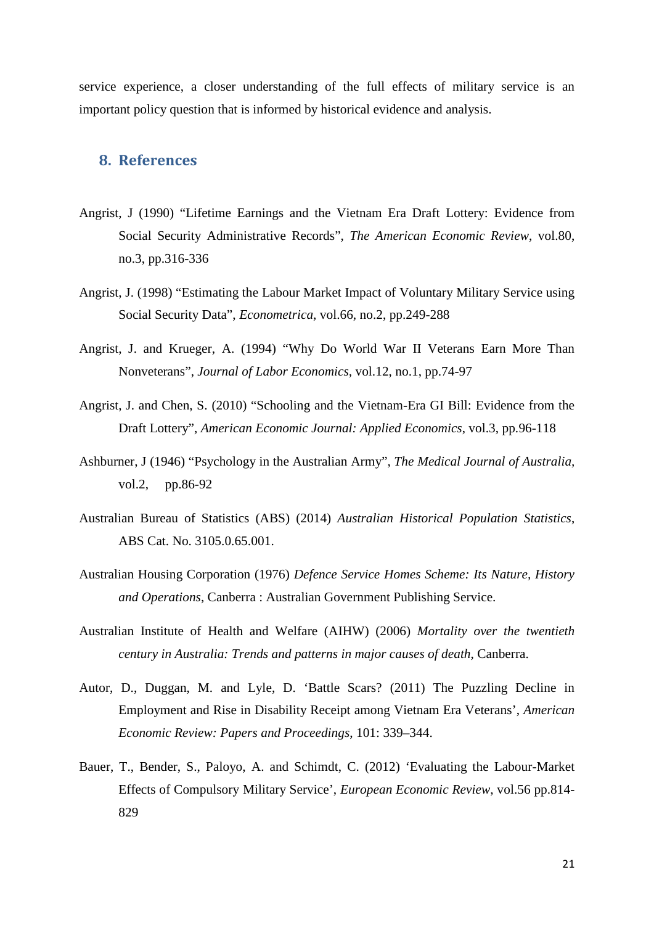service experience, a closer understanding of the full effects of military service is an important policy question that is informed by historical evidence and analysis.

### **8. References**

- Angrist, J (1990) "Lifetime Earnings and the Vietnam Era Draft Lottery: Evidence from Social Security Administrative Records", *The American Economic Review*, vol.80, no.3, pp.316-336
- Angrist, J. (1998) "Estimating the Labour Market Impact of Voluntary Military Service using Social Security Data", *Econometrica*, vol.66, no.2, pp.249-288
- Angrist, J. and Krueger, A. (1994) "Why Do World War II Veterans Earn More Than Nonveterans", *Journal of Labor Economics,* vol.12, no.1, pp.74-97
- Angrist, J. and Chen, S. (2010) "Schooling and the Vietnam-Era GI Bill: Evidence from the Draft Lottery", *American Economic Journal: Applied Economics*, vol.3, pp.96-118
- Ashburner, J (1946) "Psychology in the Australian Army", *The Medical Journal of Australia,* vol.2, pp.86-92
- Australian Bureau of Statistics (ABS) (2014) *Australian Historical Population Statistics*, ABS Cat. No. 3105.0.65.001.
- Australian Housing Corporation (1976) *Defence Service Homes Scheme: Its Nature, History and Operations*, Canberra : Australian Government Publishing Service.
- Australian Institute of Health and Welfare (AIHW) (2006) *Mortality over the twentieth century in Australia: Trends and patterns in major causes of death*, Canberra.
- Autor, D., Duggan, M. and Lyle, D. 'Battle Scars? (2011) The Puzzling Decline in Employment and Rise in Disability Receipt among Vietnam Era Veterans', *American Economic Review: Papers and Proceedings*, 101: 339–344.
- Bauer, T., Bender, S., Paloyo, A. and Schimdt, C. (2012) 'Evaluating the Labour-Market Effects of Compulsory Military Service', *European Economic Review*, vol.56 pp.814- 829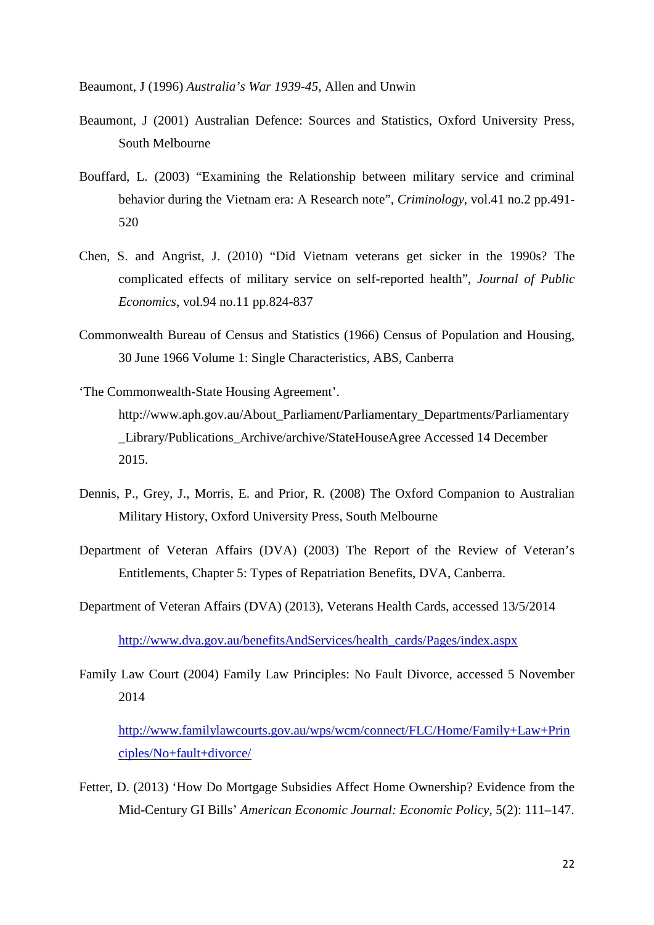Beaumont, J (1996) *Australia's War 1939-45*, Allen and Unwin

- Beaumont, J (2001) Australian Defence: Sources and Statistics, Oxford University Press, South Melbourne
- Bouffard, L. (2003) "Examining the Relationship between military service and criminal behavior during the Vietnam era: A Research note", *Criminology*, vol.41 no.2 pp.491- 520
- Chen, S. and Angrist, J. (2010) "Did Vietnam veterans get sicker in the 1990s? The complicated effects of military service on self-reported health", *Journal of Public Economics*, vol.94 no.11 pp.824-837
- Commonwealth Bureau of Census and Statistics (1966) Census of Population and Housing, 30 June 1966 Volume 1: Single Characteristics, ABS, Canberra
- 'The Commonwealth-State Housing Agreement'. http://www.aph.gov.au/About\_Parliament/Parliamentary\_Departments/Parliamentary \_Library/Publications\_Archive/archive/StateHouseAgree Accessed 14 December 2015.
- Dennis, P., Grey, J., Morris, E. and Prior, R. (2008) The Oxford Companion to Australian Military History, Oxford University Press, South Melbourne
- Department of Veteran Affairs (DVA) (2003) The Report of the Review of Veteran's Entitlements, Chapter 5: Types of Repatriation Benefits, DVA, Canberra.
- Department of Veteran Affairs (DVA) (2013), Veterans Health Cards, accessed 13/5/2014

[http://www.dva.gov.au/benefitsAndServices/health\\_cards/Pages/index.aspx](http://www.dva.gov.au/benefitsAndServices/health_cards/Pages/index.aspx)

Family Law Court (2004) Family Law Principles: No Fault Divorce, accessed 5 November 2014

[http://www.familylawcourts.gov.au/wps/wcm/connect/FLC/Home/Family+Law+Prin](http://www.familylawcourts.gov.au/wps/wcm/connect/FLC/Home/Family+Law+Principles/No+fault+divorce/) [ciples/No+fault+divorce/](http://www.familylawcourts.gov.au/wps/wcm/connect/FLC/Home/Family+Law+Principles/No+fault+divorce/)

Fetter, D. (2013) 'How Do Mortgage Subsidies Affect Home Ownership? Evidence from the Mid-Century GI Bills' *American Economic Journal: Economic Policy*, 5(2): 111–147.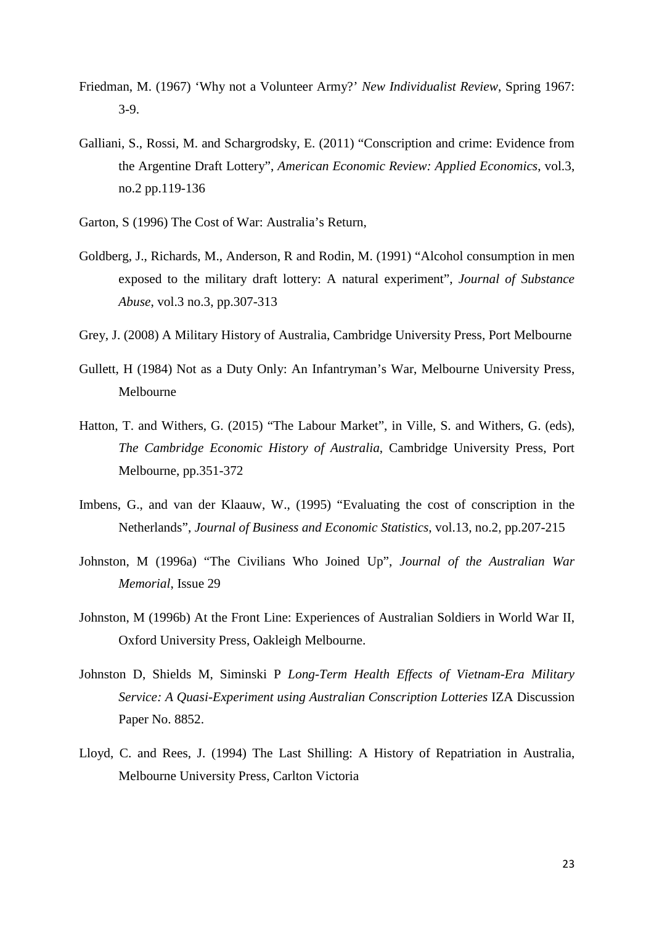- Friedman, M. (1967) 'Why not a Volunteer Army?' *New Individualist Review*, Spring 1967: 3-9.
- Galliani, S., Rossi, M. and Schargrodsky, E. (2011) "Conscription and crime: Evidence from the Argentine Draft Lottery", *American Economic Review: Applied Economics*, vol.3, no.2 pp.119-136
- Garton, S (1996) The Cost of War: Australia's Return,
- Goldberg, J., Richards, M., Anderson, R and Rodin, M. (1991) "Alcohol consumption in men exposed to the military draft lottery: A natural experiment", *Journal of Substance Abuse*, vol.3 no.3, pp.307-313
- Grey, J. (2008) A Military History of Australia, Cambridge University Press, Port Melbourne
- Gullett, H (1984) Not as a Duty Only: An Infantryman's War, Melbourne University Press, Melbourne
- Hatton, T. and Withers, G. (2015) "The Labour Market", in Ville, S. and Withers, G. (eds), *The Cambridge Economic History of Australia*, Cambridge University Press, Port Melbourne, pp.351-372
- Imbens, G., and van der Klaauw, W., (1995) "Evaluating the cost of conscription in the Netherlands", *Journal of Business and Economic Statistics*, vol.13, no.2, pp.207-215
- Johnston, M (1996a) "The Civilians Who Joined Up", *Journal of the Australian War Memorial*, Issue 29
- Johnston, M (1996b) At the Front Line: Experiences of Australian Soldiers in World War II, Oxford University Press, Oakleigh Melbourne.
- Johnston D, Shields M, Siminski P *Long-Term Health Effects of Vietnam-Era Military Service: A Quasi-Experiment using Australian Conscription Lotteries* IZA Discussion Paper No. 8852.
- Lloyd, C. and Rees, J. (1994) The Last Shilling: A History of Repatriation in Australia, Melbourne University Press, Carlton Victoria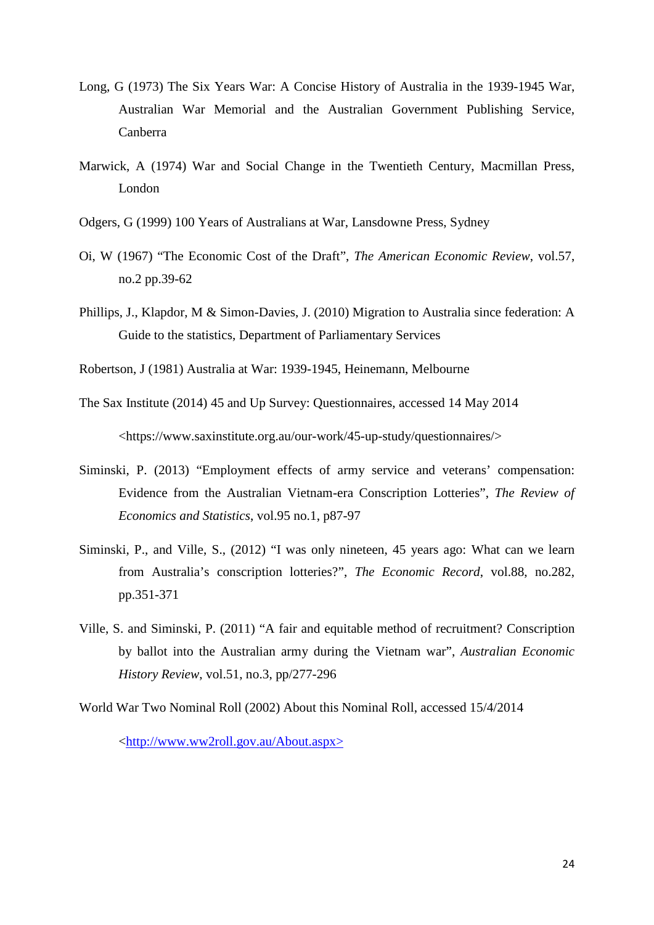- Long, G (1973) The Six Years War: A Concise History of Australia in the 1939-1945 War, Australian War Memorial and the Australian Government Publishing Service, Canberra
- Marwick, A (1974) War and Social Change in the Twentieth Century, Macmillan Press, London
- Odgers, G (1999) 100 Years of Australians at War, Lansdowne Press, Sydney
- Oi, W (1967) "The Economic Cost of the Draft", *The American Economic Review*, vol.57, no.2 pp.39-62
- Phillips, J., Klapdor, M & Simon-Davies, J. (2010) Migration to Australia since federation: A Guide to the statistics, Department of Parliamentary Services
- Robertson, J (1981) Australia at War: 1939-1945, Heinemann, Melbourne
- The Sax Institute (2014) 45 and Up Survey: Questionnaires, accessed 14 May 2014

<https://www.saxinstitute.org.au/our-work/45-up-study/questionnaires/>

- Siminski, P. (2013) "Employment effects of army service and veterans' compensation: Evidence from the Australian Vietnam-era Conscription Lotteries", *The Review of Economics and Statistics*, vol.95 no.1, p87-97
- Siminski, P., and Ville, S., (2012) "I was only nineteen, 45 years ago: What can we learn from Australia's conscription lotteries?", *The Economic Record*, vol.88, no.282, pp.351-371
- Ville, S. and Siminski, P. (2011) "A fair and equitable method of recruitment? Conscription by ballot into the Australian army during the Vietnam war", *Australian Economic History Review*, vol.51, no.3, pp/277-296
- World War Two Nominal Roll (2002) About this Nominal Roll, accessed 15/4/2014

[<http://www.ww2roll.gov.au/About.aspx>](http://www.ww2roll.gov.au/About.aspx)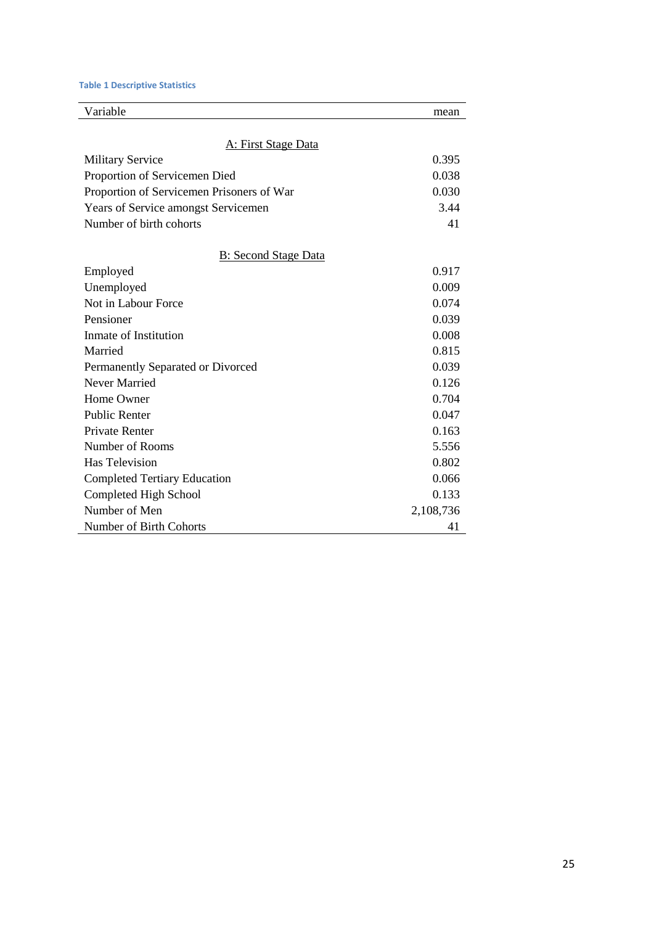#### **Table 1 Descriptive Statistics**

| Variable                                  | mean      |
|-------------------------------------------|-----------|
| A: First Stage Data                       |           |
| <b>Military Service</b>                   | 0.395     |
| Proportion of Servicemen Died             | 0.038     |
| Proportion of Servicemen Prisoners of War | 0.030     |
| Years of Service amongst Servicemen       | 3.44      |
| Number of birth cohorts                   | 41        |
| <b>B</b> : Second Stage Data              |           |
| Employed                                  | 0.917     |
| Unemployed                                | 0.009     |
| Not in Labour Force                       | 0.074     |
| Pensioner                                 | 0.039     |
| Inmate of Institution                     | 0.008     |
| Married                                   | 0.815     |
| Permanently Separated or Divorced         | 0.039     |
| <b>Never Married</b>                      | 0.126     |
| Home Owner                                | 0.704     |
| <b>Public Renter</b>                      | 0.047     |
| <b>Private Renter</b>                     | 0.163     |
| Number of Rooms                           | 5.556     |
| <b>Has Television</b>                     | 0.802     |
| <b>Completed Tertiary Education</b>       | 0.066     |
| Completed High School                     | 0.133     |
| Number of Men                             | 2,108,736 |
| Number of Birth Cohorts                   | 41        |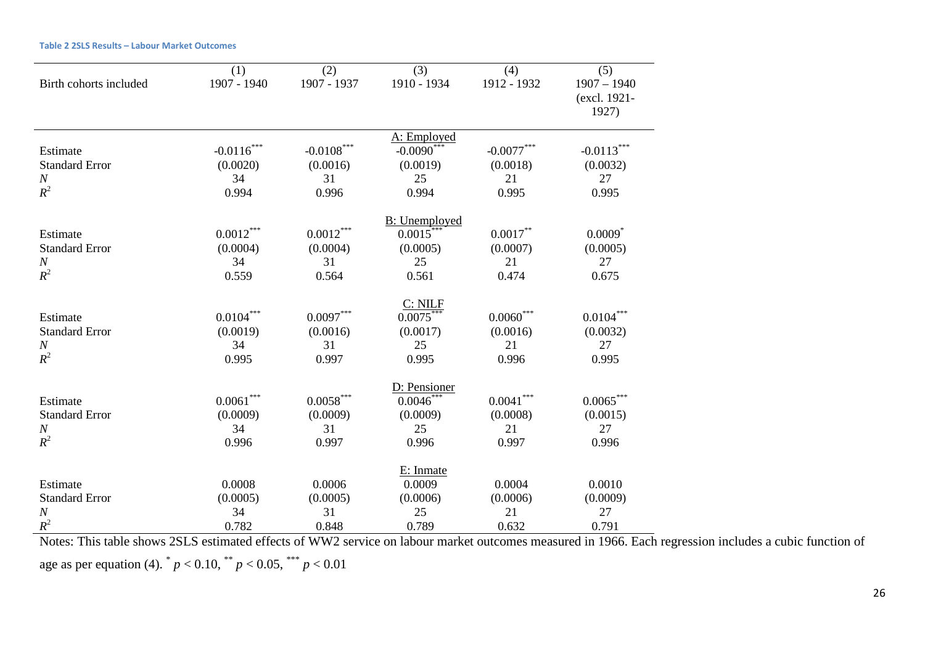| Birth cohorts included | (1)<br>1907 - 1940     | (2)<br>1907 - 1937 | (3)<br>1910 - 1934    | (4)<br>1912 - 1932 | (5)<br>$1907 - 1940$<br>(excl. 1921- |
|------------------------|------------------------|--------------------|-----------------------|--------------------|--------------------------------------|
|                        |                        |                    |                       |                    | 1927)                                |
|                        |                        |                    | A: Employed           |                    |                                      |
| Estimate               | $-0.0116$ <sup>*</sup> | $-0.0108***$       | $-0.0090^*$           | $-0.0077***$       | $-0.0113***$                         |
| <b>Standard Error</b>  | (0.0020)               | (0.0016)           | (0.0019)              | (0.0018)           | (0.0032)                             |
| $\boldsymbol{N}$       | 34                     | 31                 | 25                    | 21                 | 27                                   |
| $R^2$                  | 0.994                  | 0.996              | 0.994                 | 0.995              | 0.995                                |
|                        |                        |                    | <b>B</b> : Unemployed |                    |                                      |
| Estimate               | $0.0012***$            | $0.0012^{***}\,$   | 0.0015                | $0.0017***$        | $0.0009$ <sup>*</sup>                |
| <b>Standard Error</b>  | (0.0004)               | (0.0004)           | (0.0005)              | (0.0007)           | (0.0005)                             |
| $\boldsymbol{N}$       | 34                     | 31                 | 25                    | 21                 | 27                                   |
| $R^2$                  | 0.559                  | 0.564              | 0.561                 | 0.474              | 0.675                                |
|                        |                        |                    | C: NILF               |                    |                                      |
| Estimate               | $0.0104**$             | $0.0097***$        | $0.0075***$           | $0.0060***$        | $0.0104***$                          |
| <b>Standard Error</b>  | (0.0019)               | (0.0016)           | (0.0017)              | (0.0016)           | (0.0032)                             |
| $\boldsymbol{N}$       | 34                     | 31                 | 25                    | 21                 | 27                                   |
| $R^2$                  | 0.995                  | 0.997              | 0.995                 | 0.996              | 0.995                                |
|                        |                        |                    | D: Pensioner          |                    |                                      |
| Estimate               | $0.0061***$            | $0.0058^{***}$     | $0.0046***$           | $0.0041***$        | $0.0065***$                          |
| <b>Standard Error</b>  | (0.0009)               | (0.0009)           | (0.0009)              | (0.0008)           | (0.0015)                             |
| $\boldsymbol{N}$       | 34                     | 31                 | 25                    | 21                 | 27                                   |
| $R^2$                  | 0.996                  | 0.997              | 0.996                 | 0.997              | 0.996                                |
|                        |                        |                    | E: Inmate             |                    |                                      |
| Estimate               | 0.0008                 | 0.0006             | 0.0009                | 0.0004             | 0.0010                               |
| <b>Standard Error</b>  | (0.0005)               | (0.0005)           | (0.0006)              | (0.0006)           | (0.0009)                             |
| $\cal N$               | 34                     | 31                 | 25                    | 21                 | 27                                   |
| $R^2$                  | 0.782                  | 0.848              | 0.789                 | 0.632              | 0.791                                |

**Table 2 2SLS Results – Labour Market Outcomes**

Notes: This table shows 2SLS estimated effects of WW2 service on labour market outcomes measured in 1966. Each regression includes a cubic function of age as per equation (4).  $^{*}p < 0.10, \frac{^{***}}{^{*}}p < 0.05, \frac{^{***}}{^{*}}p < 0.01$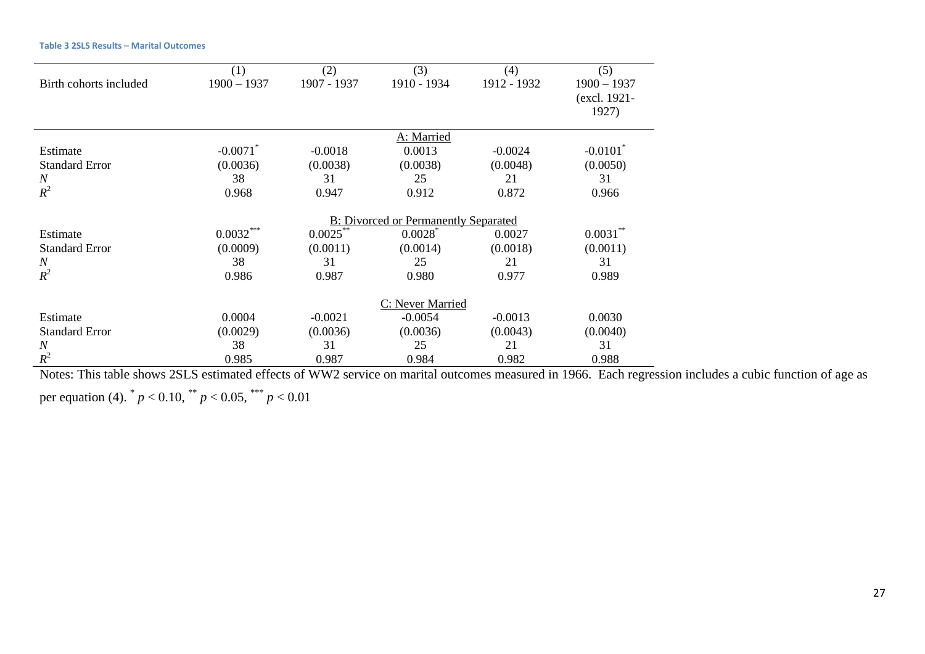| <b>Table 3 2SLS Results - Marital Outcomes</b> |  |
|------------------------------------------------|--|
|------------------------------------------------|--|

| Birth cohorts included                          | (1)<br>$1900 - 1937$                              | (2)<br>1907 - 1937                   | (3)<br>1910 - 1934                              | (4)<br>1912 - 1932                   | (5)<br>$1900 - 1937$<br>(excl. 1921-<br>1927)     |  |
|-------------------------------------------------|---------------------------------------------------|--------------------------------------|-------------------------------------------------|--------------------------------------|---------------------------------------------------|--|
| Estimate<br><b>Standard Error</b><br>N<br>$R^2$ | $-0.0071$ <sup>*</sup><br>(0.0036)<br>38<br>0.968 | $-0.0018$<br>(0.0038)<br>31<br>0.947 | A: Married<br>0.0013<br>(0.0038)<br>25<br>0.912 | $-0.0024$<br>(0.0048)<br>21<br>0.872 | $-0.0101$ <sup>*</sup><br>(0.0050)<br>31<br>0.966 |  |
|                                                 | <b>B:</b> Divorced or Permanently Separated       |                                      |                                                 |                                      |                                                   |  |
| Estimate                                        | $0.0032***$                                       | $0.0025***$                          | $0.0028$ <sup>*</sup>                           | 0.0027                               | $0.0031***$                                       |  |
| <b>Standard Error</b>                           | (0.0009)                                          | (0.0011)                             | (0.0014)                                        | (0.0018)                             | (0.0011)                                          |  |
| $\boldsymbol{N}$                                | 38                                                | 31                                   | 25                                              | 21                                   | 31                                                |  |
| $R^2$                                           | 0.986                                             | 0.987                                | 0.980                                           | 0.977                                | 0.989                                             |  |
|                                                 | C: Never Married                                  |                                      |                                                 |                                      |                                                   |  |
| Estimate                                        | 0.0004                                            | $-0.0021$                            | $-0.0054$                                       | $-0.0013$                            | 0.0030                                            |  |
| <b>Standard Error</b>                           | (0.0029)                                          | (0.0036)                             | (0.0036)                                        | (0.0043)                             | (0.0040)                                          |  |
| $\boldsymbol{N}$                                | 38                                                | 31                                   | 25                                              | 21                                   | 31                                                |  |
| $R^2$                                           | 0.985                                             | 0.987                                | 0.984                                           | 0.982                                | 0.988                                             |  |

Notes: This table shows 2SLS estimated effects of WW2 service on marital outcomes measured in 1966. Each regression includes a cubic function of age as per equation (4).  $^{*} p < 0.10, \frac{^{***}}{^{p}} < 0.05, \frac{^{***}}{^{p}} < 0.01$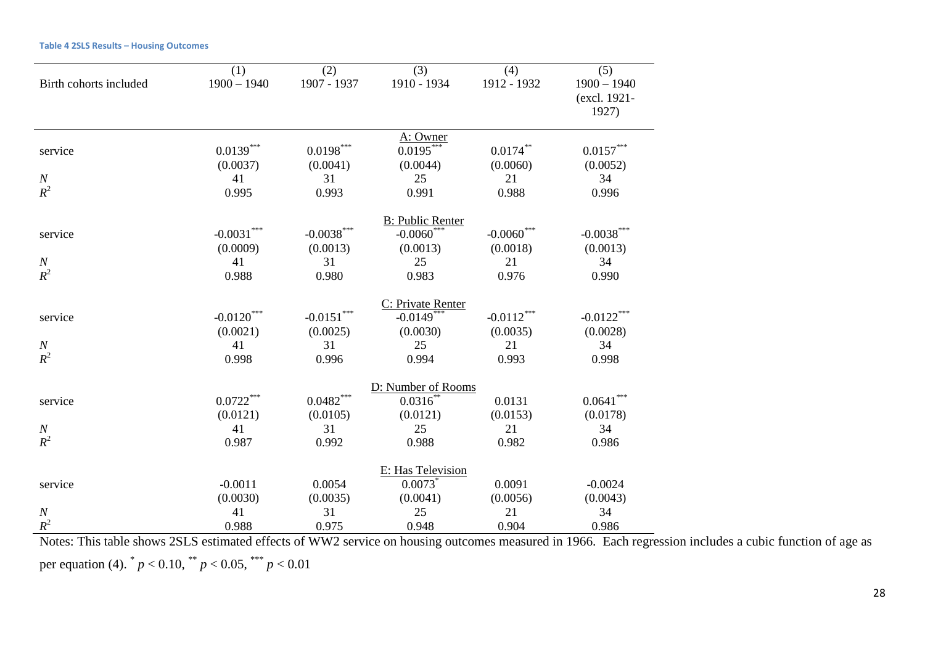|  |  |  | <b>Table 4 2SLS Results - Housing Outcomes</b> |  |
|--|--|--|------------------------------------------------|--|
|--|--|--|------------------------------------------------|--|

|                              | (1)                                  | (2)                               | (3)                                                                   | (4)                               | (5)                                  |
|------------------------------|--------------------------------------|-----------------------------------|-----------------------------------------------------------------------|-----------------------------------|--------------------------------------|
| Birth cohorts included       | $1900 - 1940$                        | 1907 - 1937                       | 1910 - 1934                                                           | 1912 - 1932                       | $1900 - 1940$                        |
|                              |                                      |                                   |                                                                       |                                   | (excl. 1921-                         |
|                              |                                      |                                   |                                                                       |                                   | 1927)                                |
|                              |                                      |                                   | A: Owner                                                              |                                   |                                      |
| service                      | $0.0139^{***}$                       | $0.0198***$                       | $0.0195***$                                                           | $0.0174***$                       | $0.0157^{\ast\ast\ast}$              |
|                              | (0.0037)                             | (0.0041)                          | (0.0044)                                                              | (0.0060)                          | (0.0052)                             |
| $\boldsymbol{N}$             | 41                                   | 31                                | 25                                                                    | 21                                | 34                                   |
| $R^2$                        | 0.995                                | 0.993                             | 0.991                                                                 | 0.988                             | 0.996                                |
|                              |                                      |                                   |                                                                       |                                   |                                      |
|                              | $-0.0031***$                         | $-0.0038***$                      | <b>B: Public Renter</b><br>$-0.0060$ ***                              | $-0.0060$ ***                     | $-0.0038***$                         |
| service                      | (0.0009)                             | (0.0013)                          | (0.0013)                                                              | (0.0018)                          | (0.0013)                             |
| $\cal N$                     | 41                                   | 31                                | 25                                                                    | 21                                | 34                                   |
| $R^2$                        | 0.988                                | 0.980                             | 0.983                                                                 | 0.976                             | 0.990                                |
|                              |                                      |                                   |                                                                       |                                   |                                      |
|                              |                                      |                                   | C: Private Renter                                                     |                                   |                                      |
| service                      | $-0.0120***$                         | $-0.0151***$                      | $-0.0149$ ***                                                         | $-0.0112***$                      | $-0.0122***$                         |
|                              | (0.0021)                             | (0.0025)                          | (0.0030)                                                              | (0.0035)                          | (0.0028)                             |
| $\cal N$                     | 41                                   | 31                                | 25                                                                    | 21                                | 34                                   |
| $R^2$                        | 0.998                                | 0.996                             | 0.994                                                                 | 0.993                             | 0.998                                |
|                              |                                      |                                   | D: Number of Rooms                                                    |                                   |                                      |
| service                      | $0.0722***$                          | $0.0482***$                       | $0.0316**$                                                            | 0.0131                            | $0.0641***$                          |
|                              | (0.0121)                             | (0.0105)                          | (0.0121)                                                              | (0.0153)                          | (0.0178)                             |
| $\boldsymbol{N}$             | 41                                   | 31                                | 25                                                                    | 21                                | 34                                   |
| $R^2$                        | 0.987                                | 0.992                             | 0.988                                                                 | 0.982                             | 0.986                                |
|                              |                                      |                                   |                                                                       |                                   |                                      |
|                              |                                      |                                   |                                                                       |                                   |                                      |
|                              |                                      |                                   |                                                                       |                                   |                                      |
|                              |                                      |                                   |                                                                       |                                   |                                      |
|                              |                                      |                                   |                                                                       |                                   |                                      |
| service<br>$\cal N$<br>$R^2$ | $-0.0011$<br>(0.0030)<br>41<br>0.988 | 0.0054<br>(0.0035)<br>31<br>0.975 | E: Has Television<br>$0.0073$ <sup>*</sup><br>(0.0041)<br>25<br>0.948 | 0.0091<br>(0.0056)<br>21<br>0.904 | $-0.0024$<br>(0.0043)<br>34<br>0.986 |

Notes: This table shows 2SLS estimated effects of WW2 service on housing outcomes measured in 1966. Each regression includes a cubic function of age as per equation (4).  $^{*}p < 0.10, \frac{^{***}}{p} < 0.05, \frac{^{***}}{p} < 0.01$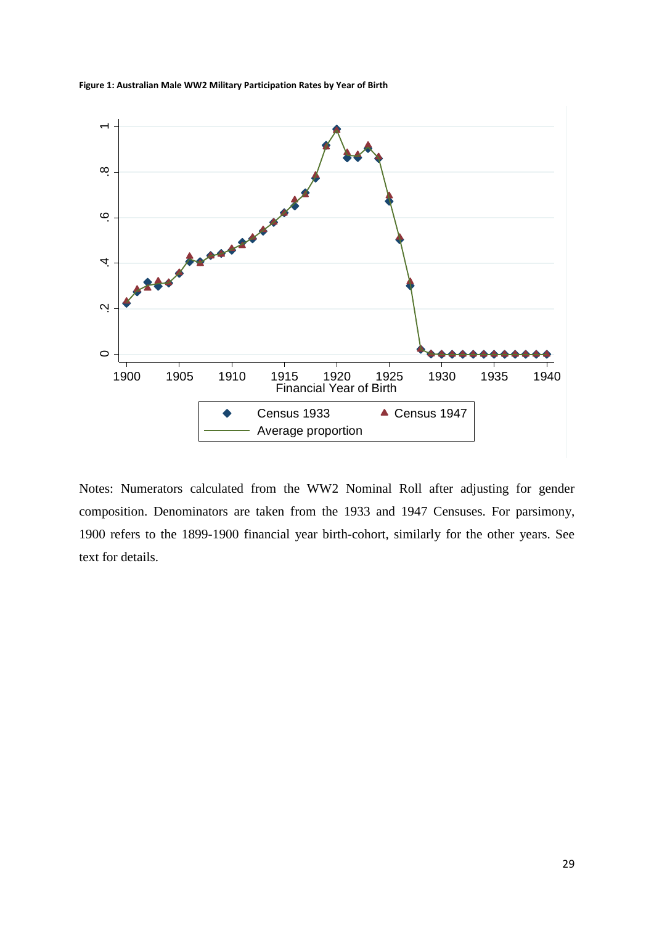

**Figure 1: Australian Male WW2 Military Participation Rates by Year of Birth**

Notes: Numerators calculated from the WW2 Nominal Roll after adjusting for gender composition. Denominators are taken from the 1933 and 1947 Censuses. For parsimony, 1900 refers to the 1899-1900 financial year birth-cohort, similarly for the other years. See text for details.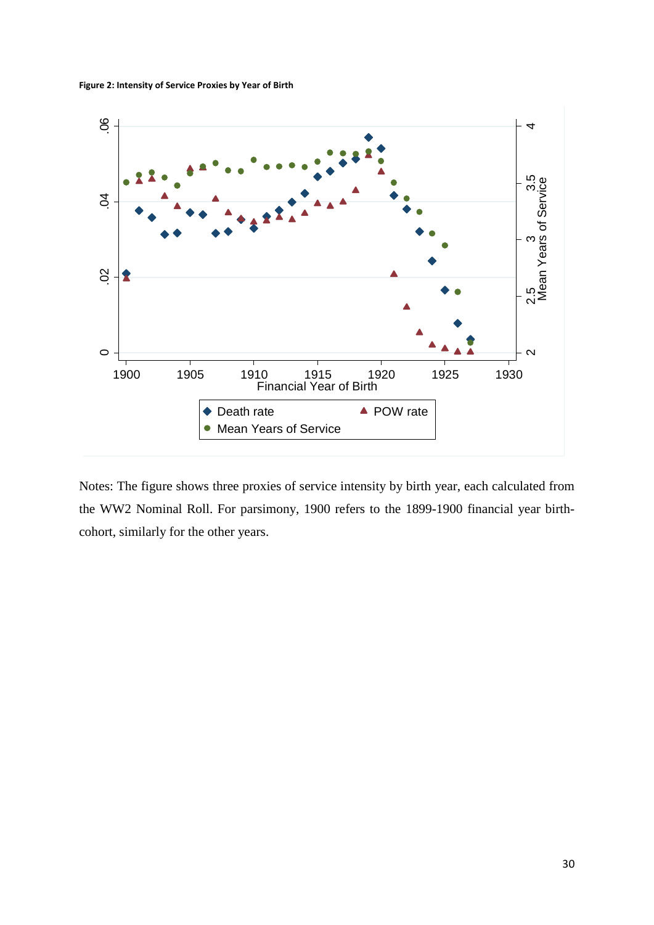**Figure 2: Intensity of Service Proxies by Year of Birth**



Notes: The figure shows three proxies of service intensity by birth year, each calculated from the WW2 Nominal Roll. For parsimony, 1900 refers to the 1899-1900 financial year birthcohort, similarly for the other years.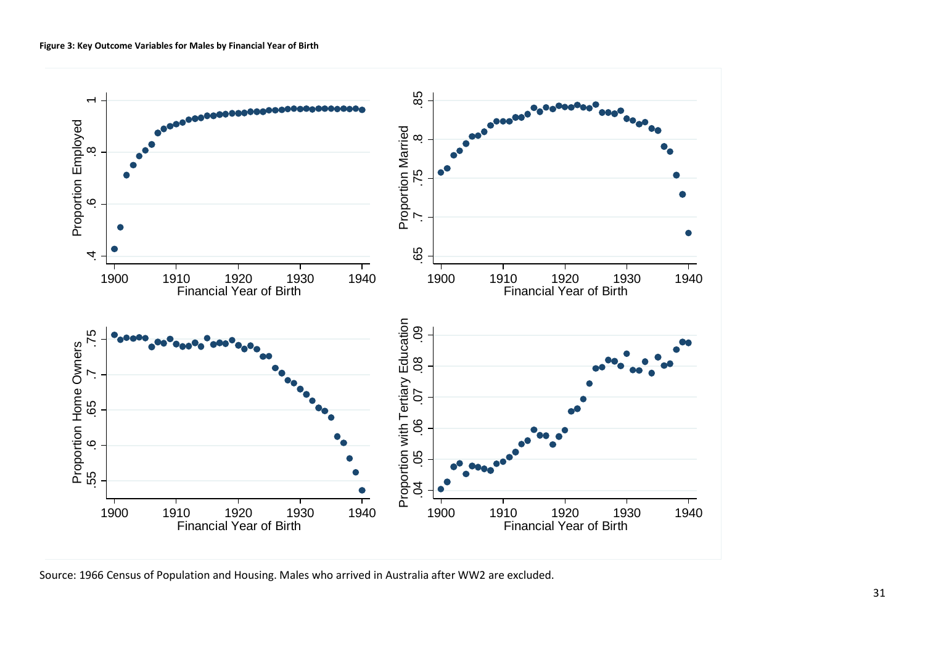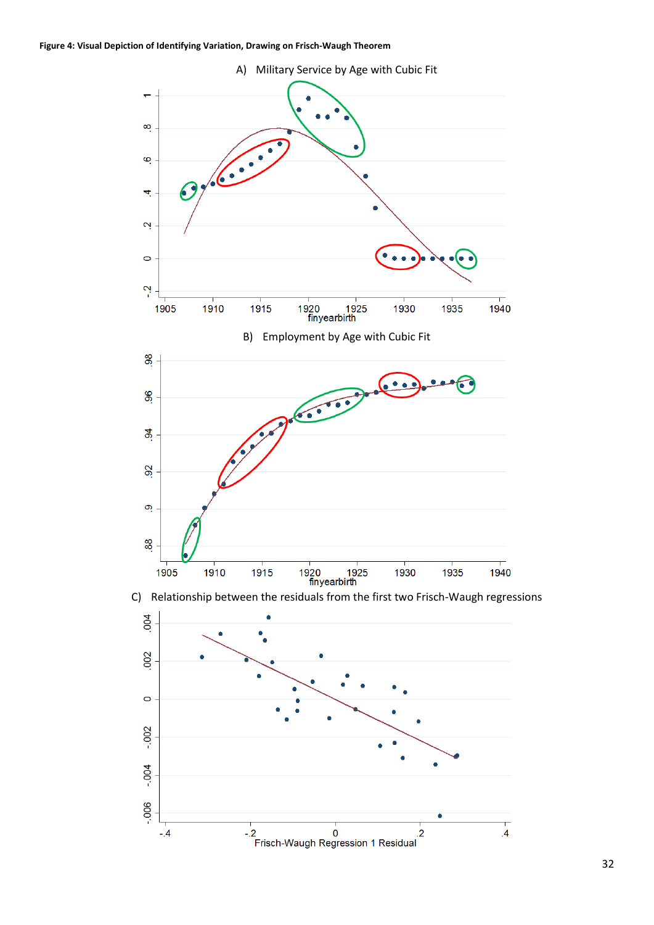